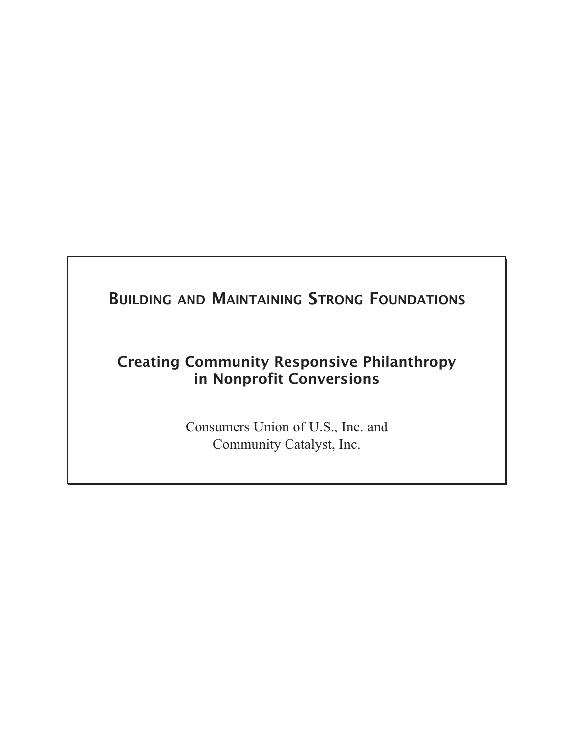# **BUILDING AND MAINTAINING STRONG FOUNDATIONS**

## **Creating Community Responsive Philanthropy in Nonprofit Conversions**

Consumers Union of U.S., Inc. and Community Catalyst, Inc.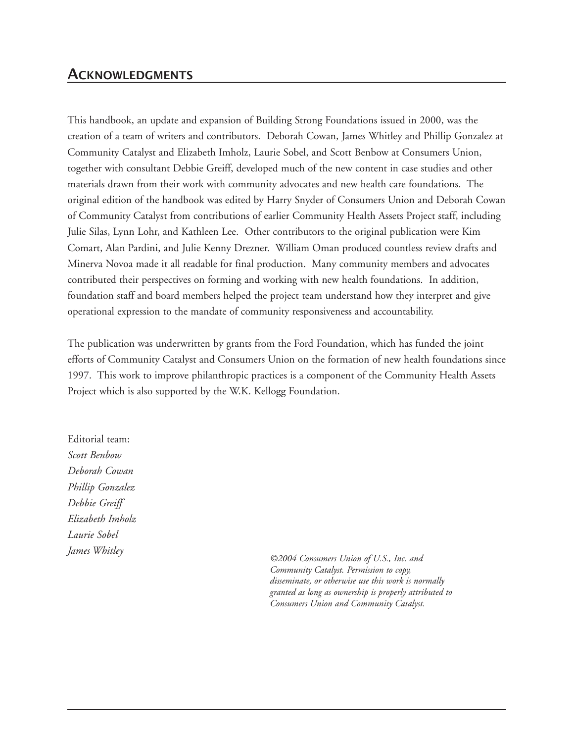## **ACKNOWLEDGMENTS**

This handbook, an update and expansion of Building Strong Foundations issued in 2000, was the creation of a team of writers and contributors. Deborah Cowan, James Whitley and Phillip Gonzalez at Community Catalyst and Elizabeth Imholz, Laurie Sobel, and Scott Benbow at Consumers Union, together with consultant Debbie Greiff, developed much of the new content in case studies and other materials drawn from their work with community advocates and new health care foundations. The original edition of the handbook was edited by Harry Snyder of Consumers Union and Deborah Cowan of Community Catalyst from contributions of earlier Community Health Assets Project staff, including Julie Silas, Lynn Lohr, and Kathleen Lee. Other contributors to the original publication were Kim Comart, Alan Pardini, and Julie Kenny Drezner. William Oman produced countless review drafts and Minerva Novoa made it all readable for final production. Many community members and advocates contributed their perspectives on forming and working with new health foundations. In addition, foundation staff and board members helped the project team understand how they interpret and give operational expression to the mandate of community responsiveness and accountability.

The publication was underwritten by grants from the Ford Foundation, which has funded the joint efforts of Community Catalyst and Consumers Union on the formation of new health foundations since 1997. This work to improve philanthropic practices is a component of the Community Health Assets Project which is also supported by the W.K. Kellogg Foundation.

Editorial team: *Scott Benbow Deborah Cowan Phillip Gonzalez Debbie Greiff Elizabeth Imholz Laurie Sobel*

*James Whitley ©2004 Consumers Union of U.S., Inc. and Community Catalyst. Permission to copy, disseminate, or otherwise use this work is normally granted as long as ownership is properly attributed to Consumers Union and Community Catalyst.*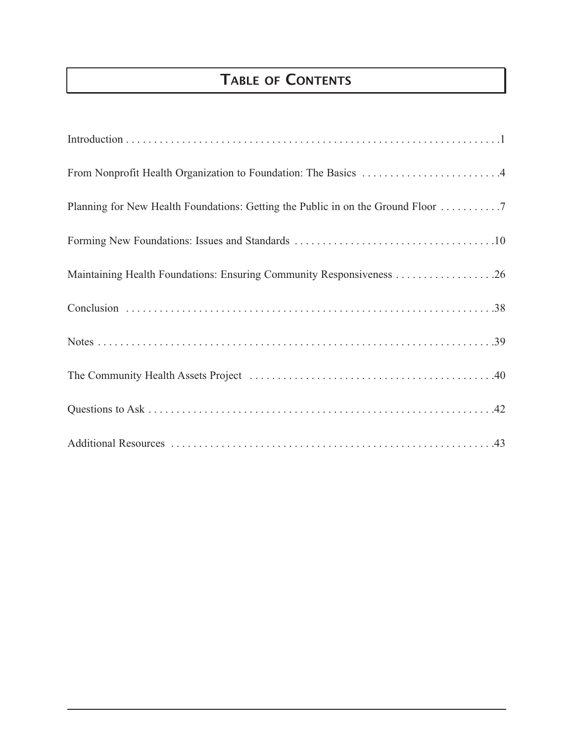# **TABLE OF CONTENTS**

| From Nonprofit Health Organization to Foundation: The Basics 4                   |
|----------------------------------------------------------------------------------|
| Planning for New Health Foundations: Getting the Public in on the Ground Floor 7 |
|                                                                                  |
| Maintaining Health Foundations: Ensuring Community Responsiveness 26             |
|                                                                                  |
|                                                                                  |
|                                                                                  |
|                                                                                  |
|                                                                                  |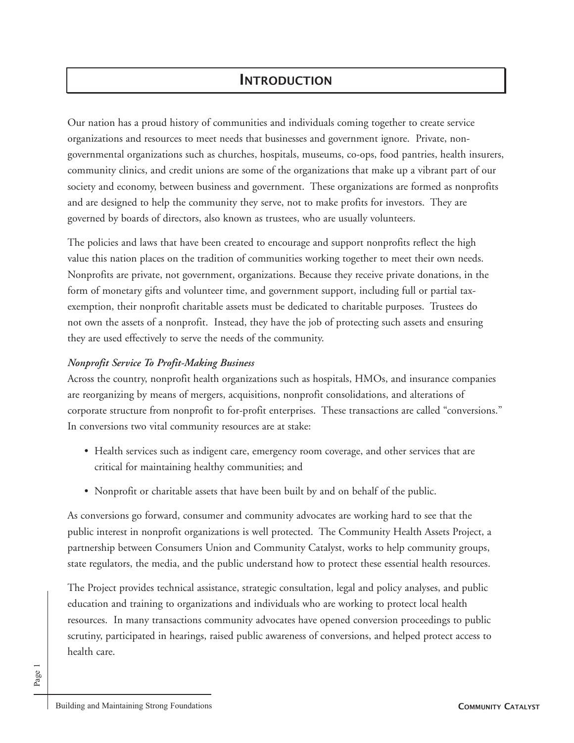## **INTRODUCTION**

Our nation has a proud history of communities and individuals coming together to create service organizations and resources to meet needs that businesses and government ignore. Private, nongovernmental organizations such as churches, hospitals, museums, co-ops, food pantries, health insurers, community clinics, and credit unions are some of the organizations that make up a vibrant part of our society and economy, between business and government. These organizations are formed as nonprofits and are designed to help the community they serve, not to make profits for investors. They are governed by boards of directors, also known as trustees, who are usually volunteers.

The policies and laws that have been created to encourage and support nonprofits reflect the high value this nation places on the tradition of communities working together to meet their own needs. Nonprofits are private, not government, organizations. Because they receive private donations, in the form of monetary gifts and volunteer time, and government support, including full or partial taxexemption, their nonprofit charitable assets must be dedicated to charitable purposes. Trustees do not own the assets of a nonprofit. Instead, they have the job of protecting such assets and ensuring they are used effectively to serve the needs of the community.

### *Nonprofit Service To Profit-Making Business*

Across the country, nonprofit health organizations such as hospitals, HMOs, and insurance companies are reorganizing by means of mergers, acquisitions, nonprofit consolidations, and alterations of corporate structure from nonprofit to for-profit enterprises. These transactions are called "conversions." In conversions two vital community resources are at stake:

- Health services such as indigent care, emergency room coverage, and other services that are critical for maintaining healthy communities; and
- Nonprofit or charitable assets that have been built by and on behalf of the public.

As conversions go forward, consumer and community advocates are working hard to see that the public interest in nonprofit organizations is well protected. The Community Health Assets Project, a partnership between Consumers Union and Community Catalyst, works to help community groups, state regulators, the media, and the public understand how to protect these essential health resources.

The Project provides technical assistance, strategic consultation, legal and policy analyses, and public education and training to organizations and individuals who are working to protect local health resources. In many transactions community advocates have opened conversion proceedings to public scrutiny, participated in hearings, raised public awareness of conversions, and helped protect access to health care.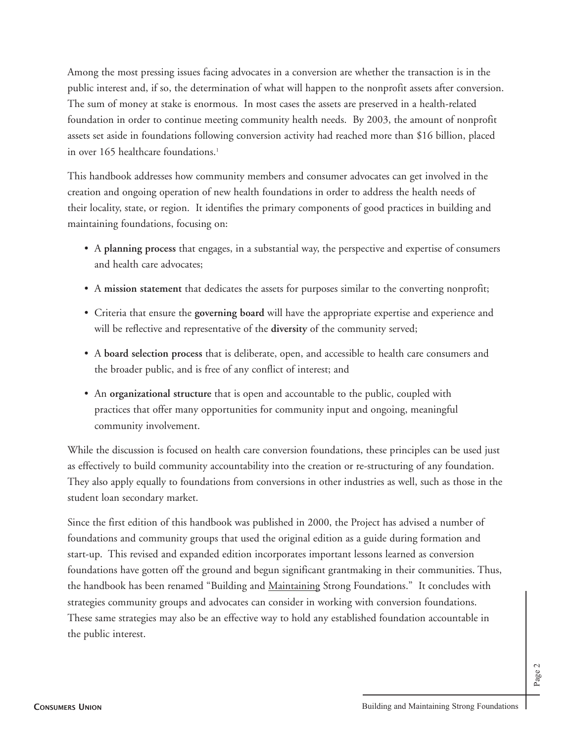Among the most pressing issues facing advocates in a conversion are whether the transaction is in the public interest and, if so, the determination of what will happen to the nonprofit assets after conversion. The sum of money at stake is enormous. In most cases the assets are preserved in a health-related foundation in order to continue meeting community health needs. By 2003, the amount of nonprofit assets set aside in foundations following conversion activity had reached more than \$16 billion, placed in over 165 healthcare foundations.<sup>1</sup>

This handbook addresses how community members and consumer advocates can get involved in the creation and ongoing operation of new health foundations in order to address the health needs of their locality, state, or region. It identifies the primary components of good practices in building and maintaining foundations, focusing on:

- A **planning process** that engages, in a substantial way, the perspective and expertise of consumers and health care advocates;
- A **mission statement** that dedicates the assets for purposes similar to the converting nonprofit;
- Criteria that ensure the **governing board** will have the appropriate expertise and experience and will be reflective and representative of the **diversity** of the community served;
- A **board selection process** that is deliberate, open, and accessible to health care consumers and the broader public, and is free of any conflict of interest; and
- An **organizational structure** that is open and accountable to the public, coupled with practices that offer many opportunities for community input and ongoing, meaningful community involvement.

While the discussion is focused on health care conversion foundations, these principles can be used just as effectively to build community accountability into the creation or re-structuring of any foundation. They also apply equally to foundations from conversions in other industries as well, such as those in the student loan secondary market.

Since the first edition of this handbook was published in 2000, the Project has advised a number of foundations and community groups that used the original edition as a guide during formation and start-up. This revised and expanded edition incorporates important lessons learned as conversion foundations have gotten off the ground and begun significant grantmaking in their communities. Thus, the handbook has been renamed "Building and Maintaining Strong Foundations." It concludes with strategies community groups and advocates can consider in working with conversion foundations. These same strategies may also be an effective way to hold any established foundation accountable in the public interest.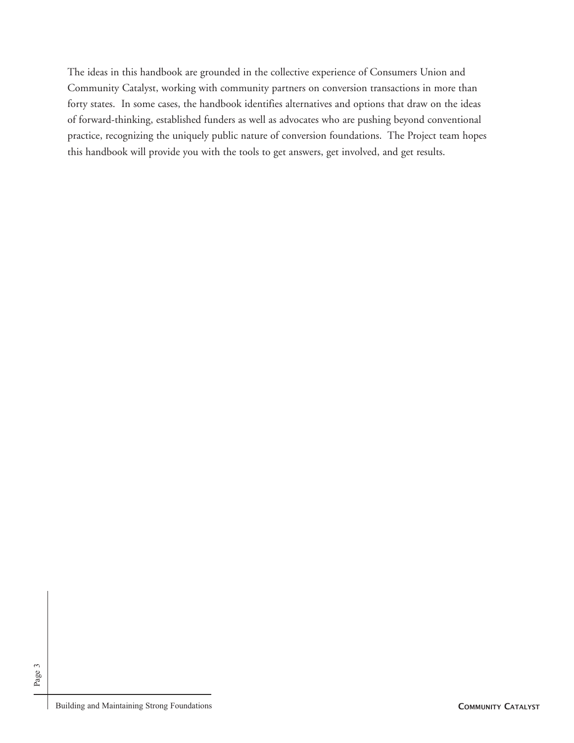The ideas in this handbook are grounded in the collective experience of Consumers Union and Community Catalyst, working with community partners on conversion transactions in more than forty states. In some cases, the handbook identifies alternatives and options that draw on the ideas of forward-thinking, established funders as well as advocates who are pushing beyond conventional practice, recognizing the uniquely public nature of conversion foundations. The Project team hopes this handbook will provide you with the tools to get answers, get involved, and get results.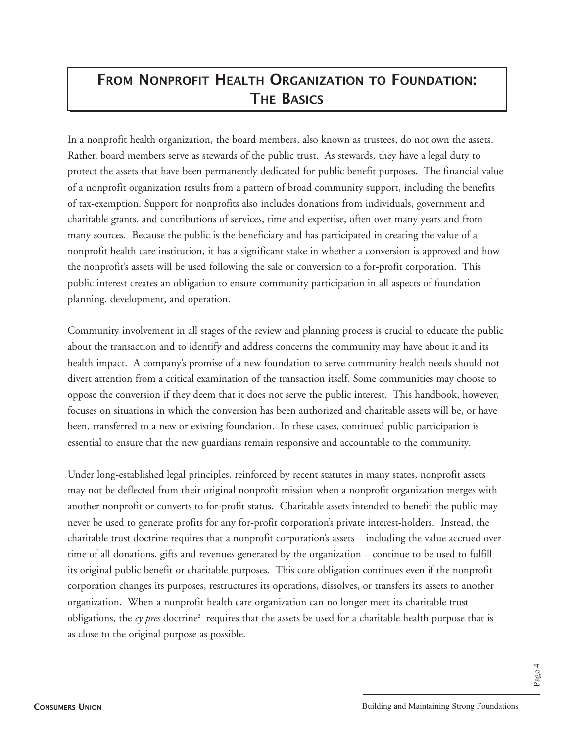# **FROM NONPROFIT HEALTH ORGANIZATION TO FOUNDATION: THE BASICS**

In a nonprofit health organization, the board members, also known as trustees, do not own the assets. Rather, board members serve as stewards of the public trust. As stewards, they have a legal duty to protect the assets that have been permanently dedicated for public benefit purposes. The financial value of a nonprofit organization results from a pattern of broad community support, including the benefits of tax-exemption. Support for nonprofits also includes donations from individuals, government and charitable grants, and contributions of services, time and expertise, often over many years and from many sources. Because the public is the beneficiary and has participated in creating the value of a nonprofit health care institution, it has a significant stake in whether a conversion is approved and how the nonprofit's assets will be used following the sale or conversion to a for-profit corporation. This public interest creates an obligation to ensure community participation in all aspects of foundation planning, development, and operation.

Community involvement in all stages of the review and planning process is crucial to educate the public about the transaction and to identify and address concerns the community may have about it and its health impact. A company's promise of a new foundation to serve community health needs should not divert attention from a critical examination of the transaction itself. Some communities may choose to oppose the conversion if they deem that it does not serve the public interest. This handbook, however, focuses on situations in which the conversion has been authorized and charitable assets will be, or have been, transferred to a new or existing foundation. In these cases, continued public participation is essential to ensure that the new guardians remain responsive and accountable to the community.

Under long-established legal principles, reinforced by recent statutes in many states, nonprofit assets may not be deflected from their original nonprofit mission when a nonprofit organization merges with another nonprofit or converts to for-profit status. Charitable assets intended to benefit the public may never be used to generate profits for any for-profit corporation's private interest-holders. Instead, the charitable trust doctrine requires that a nonprofit corporation's assets – including the value accrued over time of all donations, gifts and revenues generated by the organization – continue to be used to fulfill its original public benefit or charitable purposes. This core obligation continues even if the nonprofit corporation changes its purposes, restructures its operations, dissolves, or transfers its assets to another organization. When a nonprofit health care organization can no longer meet its charitable trust obligations, the  $c\gamma$  pres doctrine<sup>2</sup> requires that the assets be used for a charitable health purpose that is as close to the original purpose as possible.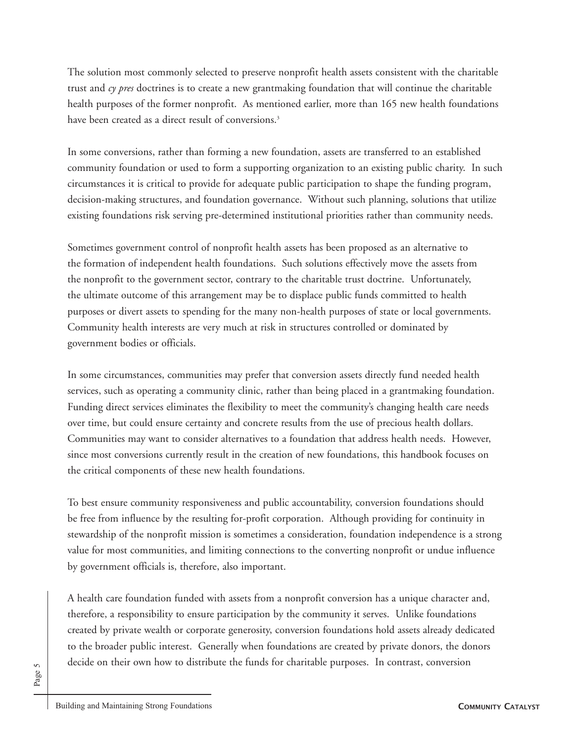The solution most commonly selected to preserve nonprofit health assets consistent with the charitable trust and *cy pres* doctrines is to create a new grantmaking foundation that will continue the charitable health purposes of the former nonprofit. As mentioned earlier, more than 165 new health foundations have been created as a direct result of conversions.<sup>3</sup>

In some conversions, rather than forming a new foundation, assets are transferred to an established community foundation or used to form a supporting organization to an existing public charity. In such circumstances it is critical to provide for adequate public participation to shape the funding program, decision-making structures, and foundation governance. Without such planning, solutions that utilize existing foundations risk serving pre-determined institutional priorities rather than community needs.

Sometimes government control of nonprofit health assets has been proposed as an alternative to the formation of independent health foundations. Such solutions effectively move the assets from the nonprofit to the government sector, contrary to the charitable trust doctrine. Unfortunately, the ultimate outcome of this arrangement may be to displace public funds committed to health purposes or divert assets to spending for the many non-health purposes of state or local governments. Community health interests are very much at risk in structures controlled or dominated by government bodies or officials.

In some circumstances, communities may prefer that conversion assets directly fund needed health services, such as operating a community clinic, rather than being placed in a grantmaking foundation. Funding direct services eliminates the flexibility to meet the community's changing health care needs over time, but could ensure certainty and concrete results from the use of precious health dollars. Communities may want to consider alternatives to a foundation that address health needs. However, since most conversions currently result in the creation of new foundations, this handbook focuses on the critical components of these new health foundations.

To best ensure community responsiveness and public accountability, conversion foundations should be free from influence by the resulting for-profit corporation. Although providing for continuity in stewardship of the nonprofit mission is sometimes a consideration, foundation independence is a strong value for most communities, and limiting connections to the converting nonprofit or undue influence by government officials is, therefore, also important.

A health care foundation funded with assets from a nonprofit conversion has a unique character and, therefore, a responsibility to ensure participation by the community it serves. Unlike foundations created by private wealth or corporate generosity, conversion foundations hold assets already dedicated to the broader public interest. Generally when foundations are created by private donors, the donors decide on their own how to distribute the funds for charitable purposes. In contrast, conversion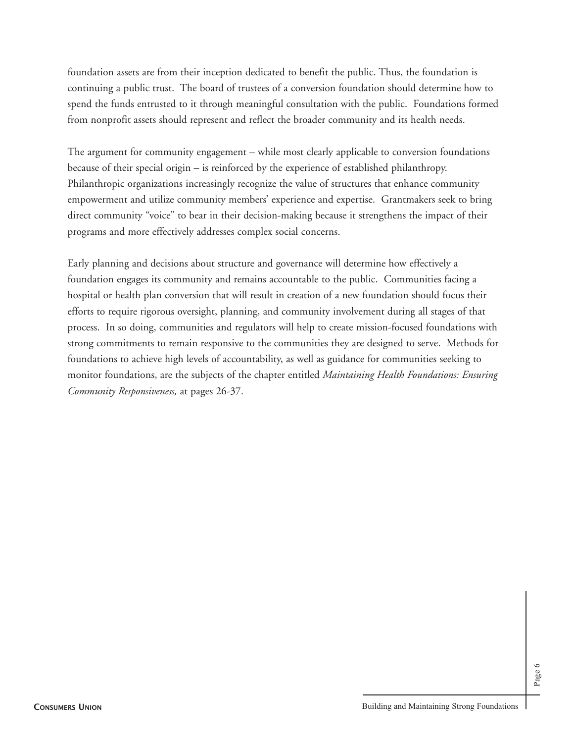foundation assets are from their inception dedicated to benefit the public. Thus, the foundation is continuing a public trust. The board of trustees of a conversion foundation should determine how to spend the funds entrusted to it through meaningful consultation with the public. Foundations formed from nonprofit assets should represent and reflect the broader community and its health needs.

The argument for community engagement – while most clearly applicable to conversion foundations because of their special origin – is reinforced by the experience of established philanthropy. Philanthropic organizations increasingly recognize the value of structures that enhance community empowerment and utilize community members' experience and expertise. Grantmakers seek to bring direct community "voice" to bear in their decision-making because it strengthens the impact of their programs and more effectively addresses complex social concerns.

Early planning and decisions about structure and governance will determine how effectively a foundation engages its community and remains accountable to the public. Communities facing a hospital or health plan conversion that will result in creation of a new foundation should focus their efforts to require rigorous oversight, planning, and community involvement during all stages of that process. In so doing, communities and regulators will help to create mission-focused foundations with strong commitments to remain responsive to the communities they are designed to serve. Methods for foundations to achieve high levels of accountability, as well as guidance for communities seeking to monitor foundations, are the subjects of the chapter entitled *Maintaining Health Foundations: Ensuring Community Responsiveness,* at pages 26-37.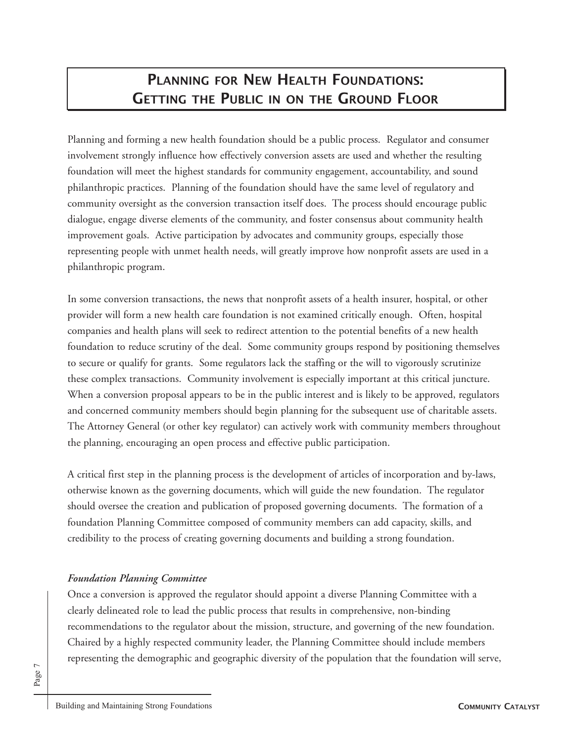# **PLANNING FOR NEW HEALTH FOUNDATIONS: GETTING THE PUBLIC IN ON THE GROUND FLOOR**

Planning and forming a new health foundation should be a public process. Regulator and consumer involvement strongly influence how effectively conversion assets are used and whether the resulting foundation will meet the highest standards for community engagement, accountability, and sound philanthropic practices. Planning of the foundation should have the same level of regulatory and community oversight as the conversion transaction itself does. The process should encourage public dialogue, engage diverse elements of the community, and foster consensus about community health improvement goals. Active participation by advocates and community groups, especially those representing people with unmet health needs, will greatly improve how nonprofit assets are used in a philanthropic program.

In some conversion transactions, the news that nonprofit assets of a health insurer, hospital, or other provider will form a new health care foundation is not examined critically enough. Often, hospital companies and health plans will seek to redirect attention to the potential benefits of a new health foundation to reduce scrutiny of the deal. Some community groups respond by positioning themselves to secure or qualify for grants. Some regulators lack the staffing or the will to vigorously scrutinize these complex transactions. Community involvement is especially important at this critical juncture. When a conversion proposal appears to be in the public interest and is likely to be approved, regulators and concerned community members should begin planning for the subsequent use of charitable assets. The Attorney General (or other key regulator) can actively work with community members throughout the planning, encouraging an open process and effective public participation.

A critical first step in the planning process is the development of articles of incorporation and by-laws, otherwise known as the governing documents, which will guide the new foundation. The regulator should oversee the creation and publication of proposed governing documents. The formation of a foundation Planning Committee composed of community members can add capacity, skills, and credibility to the process of creating governing documents and building a strong foundation.

### *Foundation Planning Committee*

Once a conversion is approved the regulator should appoint a diverse Planning Committee with a clearly delineated role to lead the public process that results in comprehensive, non-binding recommendations to the regulator about the mission, structure, and governing of the new foundation. Chaired by a highly respected community leader, the Planning Committee should include members representing the demographic and geographic diversity of the population that the foundation will serve,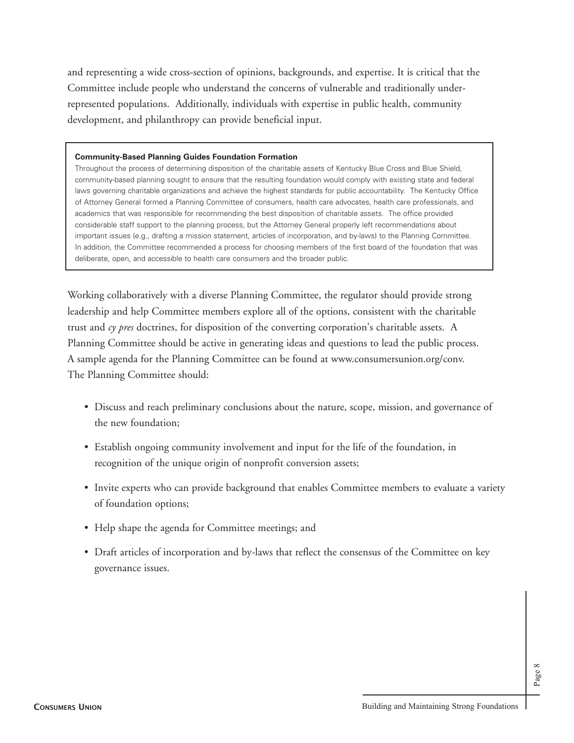and representing a wide cross-section of opinions, backgrounds, and expertise. It is critical that the Committee include people who understand the concerns of vulnerable and traditionally underrepresented populations. Additionally, individuals with expertise in public health, community development, and philanthropy can provide beneficial input.

#### **Community-Based Planning Guides Foundation Formation**

Throughout the process of determining disposition of the charitable assets of Kentucky Blue Cross and Blue Shield, community-based planning sought to ensure that the resulting foundation would comply with existing state and federal laws governing charitable organizations and achieve the highest standards for public accountability. The Kentucky Office of Attorney General formed a Planning Committee of consumers, health care advocates, health care professionals, and academics that was responsible for recommending the best disposition of charitable assets. The office provided considerable staff support to the planning process, but the Attorney General properly left recommendations about important issues (e.g., drafting a mission statement, articles of incorporation, and by-laws) to the Planning Committee. In addition, the Committee recommended a process for choosing members of the first board of the foundation that was deliberate, open, and accessible to health care consumers and the broader public.

Working collaboratively with a diverse Planning Committee, the regulator should provide strong leadership and help Committee members explore all of the options, consistent with the charitable trust and *cy pres* doctrines, for disposition of the converting corporation's charitable assets. A Planning Committee should be active in generating ideas and questions to lead the public process. A sample agenda for the Planning Committee can be found at www.consumersunion.org/conv. The Planning Committee should:

- Discuss and reach preliminary conclusions about the nature, scope, mission, and governance of the new foundation;
- Establish ongoing community involvement and input for the life of the foundation, in recognition of the unique origin of nonprofit conversion assets;
- Invite experts who can provide background that enables Committee members to evaluate a variety of foundation options;
- Help shape the agenda for Committee meetings; and
- Draft articles of incorporation and by-laws that reflect the consensus of the Committee on key governance issues.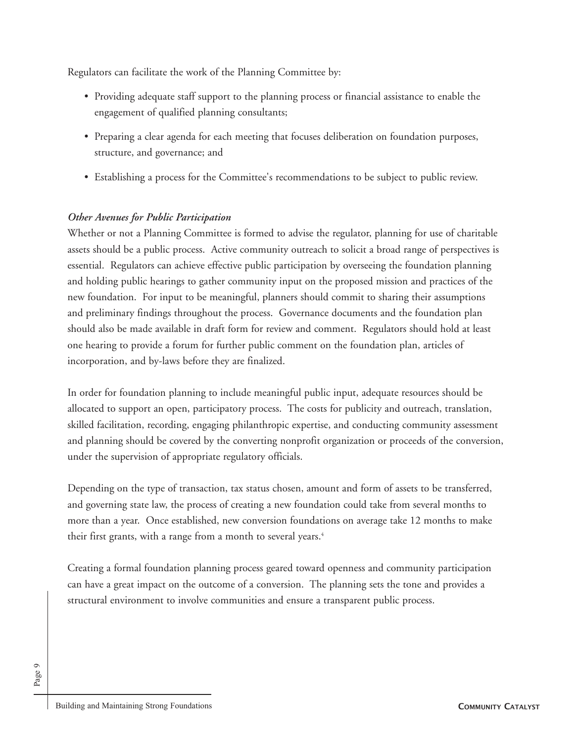Regulators can facilitate the work of the Planning Committee by:

- Providing adequate staff support to the planning process or financial assistance to enable the engagement of qualified planning consultants;
- Preparing a clear agenda for each meeting that focuses deliberation on foundation purposes, structure, and governance; and
- Establishing a process for the Committee's recommendations to be subject to public review.

### *Other Avenues for Public Participation*

Whether or not a Planning Committee is formed to advise the regulator, planning for use of charitable assets should be a public process. Active community outreach to solicit a broad range of perspectives is essential. Regulators can achieve effective public participation by overseeing the foundation planning and holding public hearings to gather community input on the proposed mission and practices of the new foundation. For input to be meaningful, planners should commit to sharing their assumptions and preliminary findings throughout the process. Governance documents and the foundation plan should also be made available in draft form for review and comment. Regulators should hold at least one hearing to provide a forum for further public comment on the foundation plan, articles of incorporation, and by-laws before they are finalized.

In order for foundation planning to include meaningful public input, adequate resources should be allocated to support an open, participatory process. The costs for publicity and outreach, translation, skilled facilitation, recording, engaging philanthropic expertise, and conducting community assessment and planning should be covered by the converting nonprofit organization or proceeds of the conversion, under the supervision of appropriate regulatory officials.

Depending on the type of transaction, tax status chosen, amount and form of assets to be transferred, and governing state law, the process of creating a new foundation could take from several months to more than a year. Once established, new conversion foundations on average take 12 months to make their first grants, with a range from a month to several years.<sup>4</sup>

Creating a formal foundation planning process geared toward openness and community participation can have a great impact on the outcome of a conversion. The planning sets the tone and provides a structural environment to involve communities and ensure a transparent public process.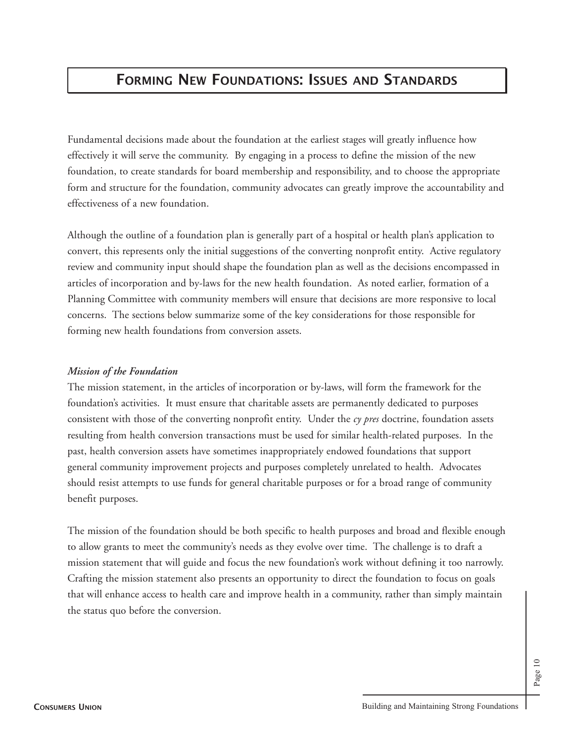## **FORMING NEW FOUNDATIONS: ISSUES AND STANDARDS**

Fundamental decisions made about the foundation at the earliest stages will greatly influence how effectively it will serve the community. By engaging in a process to define the mission of the new foundation, to create standards for board membership and responsibility, and to choose the appropriate form and structure for the foundation, community advocates can greatly improve the accountability and effectiveness of a new foundation.

Although the outline of a foundation plan is generally part of a hospital or health plan's application to convert, this represents only the initial suggestions of the converting nonprofit entity. Active regulatory review and community input should shape the foundation plan as well as the decisions encompassed in articles of incorporation and by-laws for the new health foundation. As noted earlier, formation of a Planning Committee with community members will ensure that decisions are more responsive to local concerns. The sections below summarize some of the key considerations for those responsible for forming new health foundations from conversion assets.

#### *Mission of the Foundation*

The mission statement, in the articles of incorporation or by-laws, will form the framework for the foundation's activities. It must ensure that charitable assets are permanently dedicated to purposes consistent with those of the converting nonprofit entity. Under the *cy pres* doctrine, foundation assets resulting from health conversion transactions must be used for similar health-related purposes. In the past, health conversion assets have sometimes inappropriately endowed foundations that support general community improvement projects and purposes completely unrelated to health. Advocates should resist attempts to use funds for general charitable purposes or for a broad range of community benefit purposes.

The mission of the foundation should be both specific to health purposes and broad and flexible enough to allow grants to meet the community's needs as they evolve over time. The challenge is to draft a mission statement that will guide and focus the new foundation's work without defining it too narrowly. Crafting the mission statement also presents an opportunity to direct the foundation to focus on goals that will enhance access to health care and improve health in a community, rather than simply maintain the status quo before the conversion.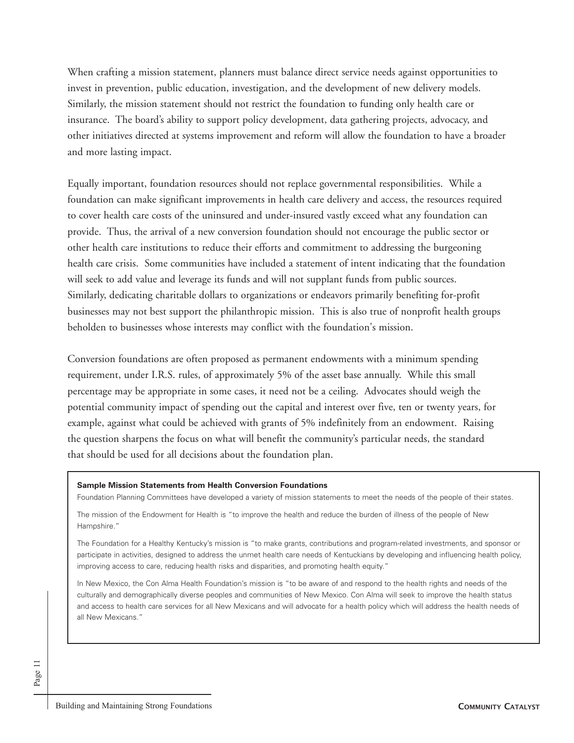When crafting a mission statement, planners must balance direct service needs against opportunities to invest in prevention, public education, investigation, and the development of new delivery models. Similarly, the mission statement should not restrict the foundation to funding only health care or insurance. The board's ability to support policy development, data gathering projects, advocacy, and other initiatives directed at systems improvement and reform will allow the foundation to have a broader and more lasting impact.

Equally important, foundation resources should not replace governmental responsibilities. While a foundation can make significant improvements in health care delivery and access, the resources required to cover health care costs of the uninsured and under-insured vastly exceed what any foundation can provide. Thus, the arrival of a new conversion foundation should not encourage the public sector or other health care institutions to reduce their efforts and commitment to addressing the burgeoning health care crisis. Some communities have included a statement of intent indicating that the foundation will seek to add value and leverage its funds and will not supplant funds from public sources. Similarly, dedicating charitable dollars to organizations or endeavors primarily benefiting for-profit businesses may not best support the philanthropic mission. This is also true of nonprofit health groups beholden to businesses whose interests may conflict with the foundation's mission.

Conversion foundations are often proposed as permanent endowments with a minimum spending requirement, under I.R.S. rules, of approximately 5% of the asset base annually. While this small percentage may be appropriate in some cases, it need not be a ceiling. Advocates should weigh the potential community impact of spending out the capital and interest over five, ten or twenty years, for example, against what could be achieved with grants of 5% indefinitely from an endowment. Raising the question sharpens the focus on what will benefit the community's particular needs, the standard that should be used for all decisions about the foundation plan.

#### **Sample Mission Statements from Health Conversion Foundations**

Foundation Planning Committees have developed a variety of mission statements to meet the needs of the people of their states.

The mission of the Endowment for Health is "to improve the health and reduce the burden of illness of the people of New Hampshire."

The Foundation for a Healthy Kentucky's mission is "to make grants, contributions and program-related investments, and sponsor or participate in activities, designed to address the unmet health care needs of Kentuckians by developing and influencing health policy, improving access to care, reducing health risks and disparities, and promoting health equity."

In New Mexico, the Con Alma Health Foundation's mission is "to be aware of and respond to the health rights and needs of the culturally and demographically diverse peoples and communities of New Mexico. Con Alma will seek to improve the health status and access to health care services for all New Mexicans and will advocate for a health policy which will address the health needs of all New Mexicans."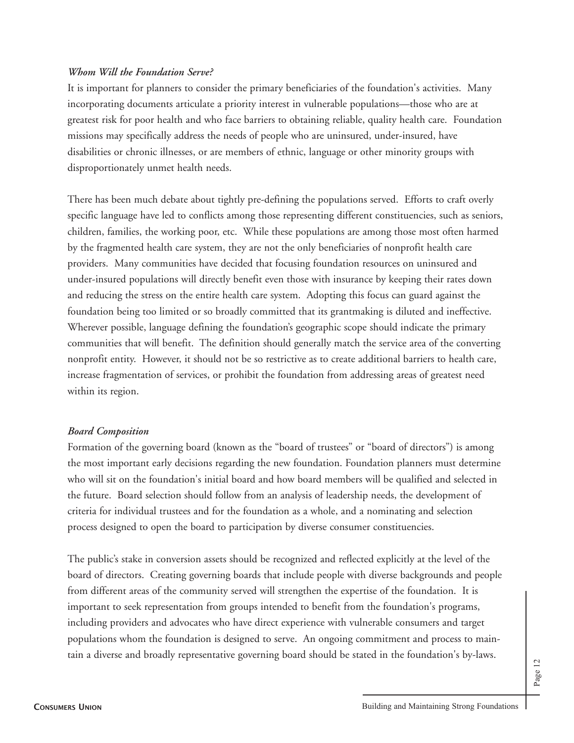#### *Whom Will the Foundation Serve?*

It is important for planners to consider the primary beneficiaries of the foundation's activities. Many incorporating documents articulate a priority interest in vulnerable populations—those who are at greatest risk for poor health and who face barriers to obtaining reliable, quality health care. Foundation missions may specifically address the needs of people who are uninsured, under-insured, have disabilities or chronic illnesses, or are members of ethnic, language or other minority groups with disproportionately unmet health needs.

There has been much debate about tightly pre-defining the populations served. Efforts to craft overly specific language have led to conflicts among those representing different constituencies, such as seniors, children, families, the working poor, etc. While these populations are among those most often harmed by the fragmented health care system, they are not the only beneficiaries of nonprofit health care providers. Many communities have decided that focusing foundation resources on uninsured and under-insured populations will directly benefit even those with insurance by keeping their rates down and reducing the stress on the entire health care system. Adopting this focus can guard against the foundation being too limited or so broadly committed that its grantmaking is diluted and ineffective. Wherever possible, language defining the foundation's geographic scope should indicate the primary communities that will benefit. The definition should generally match the service area of the converting nonprofit entity. However, it should not be so restrictive as to create additional barriers to health care, increase fragmentation of services, or prohibit the foundation from addressing areas of greatest need within its region.

#### *Board Composition*

Formation of the governing board (known as the "board of trustees" or "board of directors") is among the most important early decisions regarding the new foundation. Foundation planners must determine who will sit on the foundation's initial board and how board members will be qualified and selected in the future. Board selection should follow from an analysis of leadership needs, the development of criteria for individual trustees and for the foundation as a whole, and a nominating and selection process designed to open the board to participation by diverse consumer constituencies.

The public's stake in conversion assets should be recognized and reflected explicitly at the level of the board of directors. Creating governing boards that include people with diverse backgrounds and people from different areas of the community served will strengthen the expertise of the foundation. It is important to seek representation from groups intended to benefit from the foundation's programs, including providers and advocates who have direct experience with vulnerable consumers and target populations whom the foundation is designed to serve. An ongoing commitment and process to maintain a diverse and broadly representative governing board should be stated in the foundation's by-laws.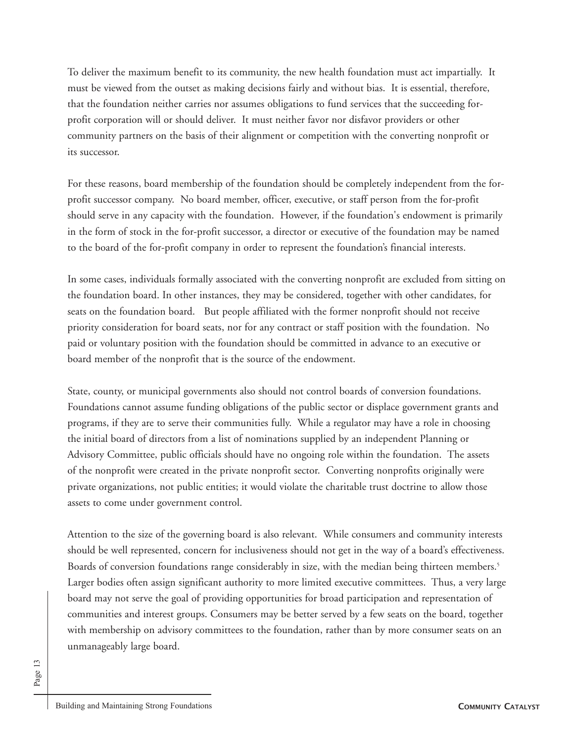To deliver the maximum benefit to its community, the new health foundation must act impartially. It must be viewed from the outset as making decisions fairly and without bias. It is essential, therefore, that the foundation neither carries nor assumes obligations to fund services that the succeeding forprofit corporation will or should deliver. It must neither favor nor disfavor providers or other community partners on the basis of their alignment or competition with the converting nonprofit or its successor.

For these reasons, board membership of the foundation should be completely independent from the forprofit successor company. No board member, officer, executive, or staff person from the for-profit should serve in any capacity with the foundation. However, if the foundation's endowment is primarily in the form of stock in the for-profit successor, a director or executive of the foundation may be named to the board of the for-profit company in order to represent the foundation's financial interests.

In some cases, individuals formally associated with the converting nonprofit are excluded from sitting on the foundation board. In other instances, they may be considered, together with other candidates, for seats on the foundation board. But people affiliated with the former nonprofit should not receive priority consideration for board seats, nor for any contract or staff position with the foundation. No paid or voluntary position with the foundation should be committed in advance to an executive or board member of the nonprofit that is the source of the endowment.

State, county, or municipal governments also should not control boards of conversion foundations. Foundations cannot assume funding obligations of the public sector or displace government grants and programs, if they are to serve their communities fully. While a regulator may have a role in choosing the initial board of directors from a list of nominations supplied by an independent Planning or Advisory Committee, public officials should have no ongoing role within the foundation. The assets of the nonprofit were created in the private nonprofit sector. Converting nonprofits originally were private organizations, not public entities; it would violate the charitable trust doctrine to allow those assets to come under government control.

Attention to the size of the governing board is also relevant. While consumers and community interests should be well represented, concern for inclusiveness should not get in the way of a board's effectiveness. Boards of conversion foundations range considerably in size, with the median being thirteen members.<sup>5</sup> Larger bodies often assign significant authority to more limited executive committees. Thus, a very large board may not serve the goal of providing opportunities for broad participation and representation of communities and interest groups. Consumers may be better served by a few seats on the board, together with membership on advisory committees to the foundation, rather than by more consumer seats on an unmanageably large board.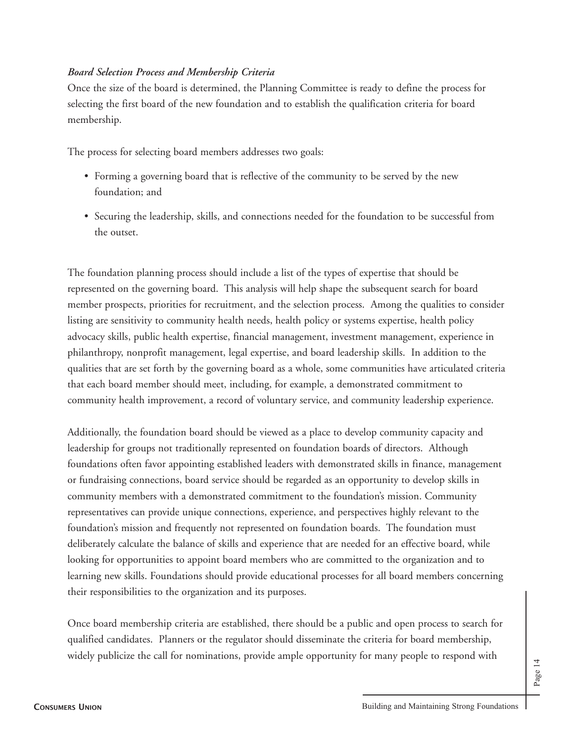## *Board Selection Process and Membership Criteria*

Once the size of the board is determined, the Planning Committee is ready to define the process for selecting the first board of the new foundation and to establish the qualification criteria for board membership.

The process for selecting board members addresses two goals:

- Forming a governing board that is reflective of the community to be served by the new foundation; and
- Securing the leadership, skills, and connections needed for the foundation to be successful from the outset.

The foundation planning process should include a list of the types of expertise that should be represented on the governing board. This analysis will help shape the subsequent search for board member prospects, priorities for recruitment, and the selection process. Among the qualities to consider listing are sensitivity to community health needs, health policy or systems expertise, health policy advocacy skills, public health expertise, financial management, investment management, experience in philanthropy, nonprofit management, legal expertise, and board leadership skills. In addition to the qualities that are set forth by the governing board as a whole, some communities have articulated criteria that each board member should meet, including, for example, a demonstrated commitment to community health improvement, a record of voluntary service, and community leadership experience.

Additionally, the foundation board should be viewed as a place to develop community capacity and leadership for groups not traditionally represented on foundation boards of directors. Although foundations often favor appointing established leaders with demonstrated skills in finance, management or fundraising connections, board service should be regarded as an opportunity to develop skills in community members with a demonstrated commitment to the foundation's mission. Community representatives can provide unique connections, experience, and perspectives highly relevant to the foundation's mission and frequently not represented on foundation boards. The foundation must deliberately calculate the balance of skills and experience that are needed for an effective board, while looking for opportunities to appoint board members who are committed to the organization and to learning new skills. Foundations should provide educational processes for all board members concerning their responsibilities to the organization and its purposes.

Once board membership criteria are established, there should be a public and open process to search for qualified candidates. Planners or the regulator should disseminate the criteria for board membership, widely publicize the call for nominations, provide ample opportunity for many people to respond with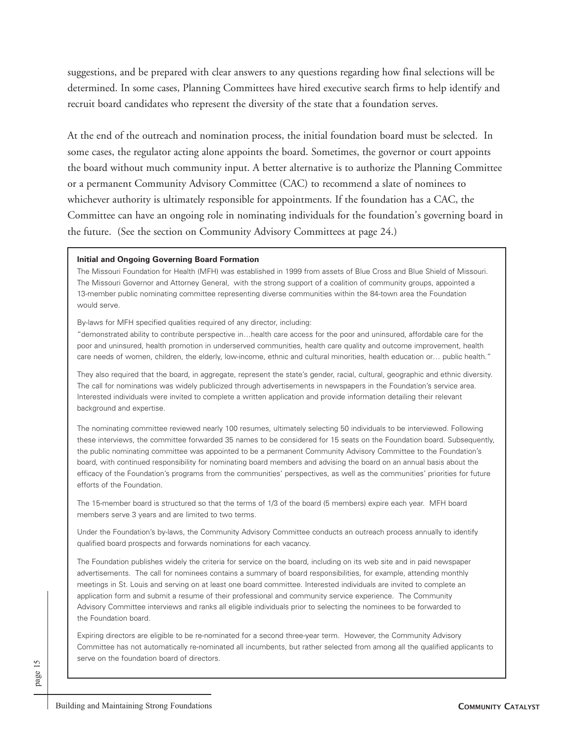suggestions, and be prepared with clear answers to any questions regarding how final selections will be determined. In some cases, Planning Committees have hired executive search firms to help identify and recruit board candidates who represent the diversity of the state that a foundation serves.

At the end of the outreach and nomination process, the initial foundation board must be selected. In some cases, the regulator acting alone appoints the board. Sometimes, the governor or court appoints the board without much community input. A better alternative is to authorize the Planning Committee or a permanent Community Advisory Committee (CAC) to recommend a slate of nominees to whichever authority is ultimately responsible for appointments. If the foundation has a CAC, the Committee can have an ongoing role in nominating individuals for the foundation's governing board in the future. (See the section on Community Advisory Committees at page 24.)

#### **Initial and Ongoing Governing Board Formation**

The Missouri Foundation for Health (MFH) was established in 1999 from assets of Blue Cross and Blue Shield of Missouri. The Missouri Governor and Attorney General, with the strong support of a coalition of community groups, appointed a 13-member public nominating committee representing diverse communities within the 84-town area the Foundation would serve.

By-laws for MFH specified qualities required of any director, including:

"demonstrated ability to contribute perspective in…health care access for the poor and uninsured, affordable care for the poor and uninsured, health promotion in underserved communities, health care quality and outcome improvement, health care needs of women, children, the elderly, low-income, ethnic and cultural minorities, health education or… public health."

They also required that the board, in aggregate, represent the state's gender, racial, cultural, geographic and ethnic diversity. The call for nominations was widely publicized through advertisements in newspapers in the Foundation's service area. Interested individuals were invited to complete a written application and provide information detailing their relevant background and expertise.

The nominating committee reviewed nearly 100 resumes, ultimately selecting 50 individuals to be interviewed. Following these interviews, the committee forwarded 35 names to be considered for 15 seats on the Foundation board. Subsequently, the public nominating committee was appointed to be a permanent Community Advisory Committee to the Foundation's board, with continued responsibility for nominating board members and advising the board on an annual basis about the efficacy of the Foundation's programs from the communities' perspectives, as well as the communities' priorities for future efforts of the Foundation.

The 15-member board is structured so that the terms of 1/3 of the board (5 members) expire each year. MFH board members serve 3 years and are limited to two terms.

Under the Foundation's by-laws, the Community Advisory Committee conducts an outreach process annually to identify qualified board prospects and forwards nominations for each vacancy.

The Foundation publishes widely the criteria for service on the board, including on its web site and in paid newspaper advertisements. The call for nominees contains a summary of board responsibilities, for example, attending monthly meetings in St. Louis and serving on at least one board committee. Interested individuals are invited to complete an application form and submit a resume of their professional and community service experience. The Community Advisory Committee interviews and ranks all eligible individuals prior to selecting the nominees to be forwarded to the Foundation board.

Expiring directors are eligible to be re-nominated for a second three-year term. However, the Community Advisory Committee has not automatically re-nominated all incumbents, but rather selected from among all the qualified applicants to serve on the foundation board of directors.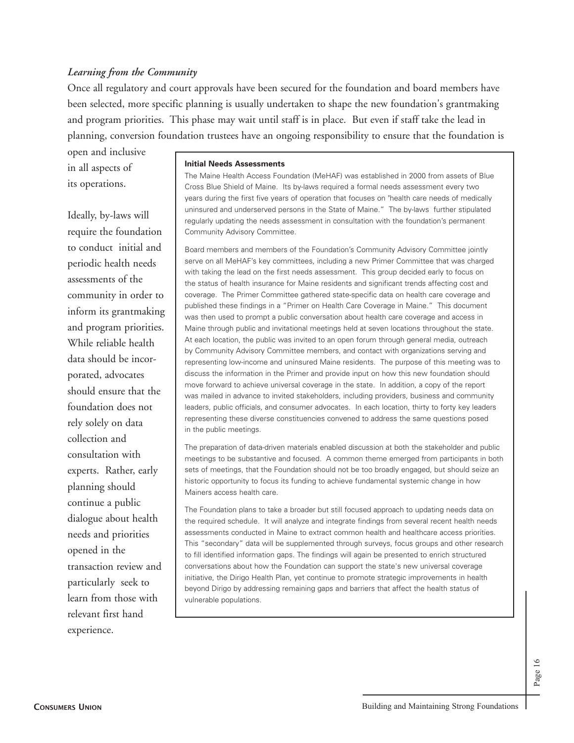#### *Learning from the Community*

Once all regulatory and court approvals have been secured for the foundation and board members have been selected, more specific planning is usually undertaken to shape the new foundation's grantmaking and program priorities. This phase may wait until staff is in place. But even if staff take the lead in planning, conversion foundation trustees have an ongoing responsibility to ensure that the foundation is

open and inclusive in all aspects of its operations.

## Ideally, by-laws will require the foundation to conduct initial and periodic health needs assessments of the community in order to inform its grantmaking and program priorities. While reliable health data should be incorporated, advocates should ensure that the foundation does not rely solely on data collection and consultation with experts. Rather, early planning should continue a public dialogue about health needs and priorities opened in the transaction review and particularly seek to learn from those with relevant first hand experience.

#### **Initial Needs Assessments**

The Maine Health Access Foundation (MeHAF) was established in 2000 from assets of Blue Cross Blue Shield of Maine. Its by-laws required a formal needs assessment every two years during the first five years of operation that focuses on "health care needs of medically uninsured and underserved persons in the State of Maine." The by-laws further stipulated regularly updating the needs assessment in consultation with the foundation's permanent Community Advisory Committee.

Board members and members of the Foundation's Community Advisory Committee jointly serve on all MeHAF's key committees, including a new Primer Committee that was charged with taking the lead on the first needs assessment. This group decided early to focus on the status of health insurance for Maine residents and significant trends affecting cost and coverage. The Primer Committee gathered state-specific data on health care coverage and published these findings in a "Primer on Health Care Coverage in Maine." This document was then used to prompt a public conversation about health care coverage and access in Maine through public and invitational meetings held at seven locations throughout the state. At each location, the public was invited to an open forum through general media, outreach by Community Advisory Committee members, and contact with organizations serving and representing low-income and uninsured Maine residents. The purpose of this meeting was to discuss the information in the Primer and provide input on how this new foundation should move forward to achieve universal coverage in the state. In addition, a copy of the report was mailed in advance to invited stakeholders, including providers, business and community leaders, public officials, and consumer advocates. In each location, thirty to forty key leaders representing these diverse constituencies convened to address the same questions posed in the public meetings.

The preparation of data-driven materials enabled discussion at both the stakeholder and public meetings to be substantive and focused. A common theme emerged from participants in both sets of meetings, that the Foundation should not be too broadly engaged, but should seize an historic opportunity to focus its funding to achieve fundamental systemic change in how Mainers access health care.

The Foundation plans to take a broader but still focused approach to updating needs data on the required schedule. It will analyze and integrate findings from several recent health needs assessments conducted in Maine to extract common health and healthcare access priorities. This "secondary" data will be supplemented through surveys, focus groups and other research to fill identified information gaps. The findings will again be presented to enrich structured conversations about how the Foundation can support the state's new universal coverage initiative, the Dirigo Health Plan, yet continue to promote strategic improvements in health beyond Dirigo by addressing remaining gaps and barriers that affect the health status of vulnerable populations.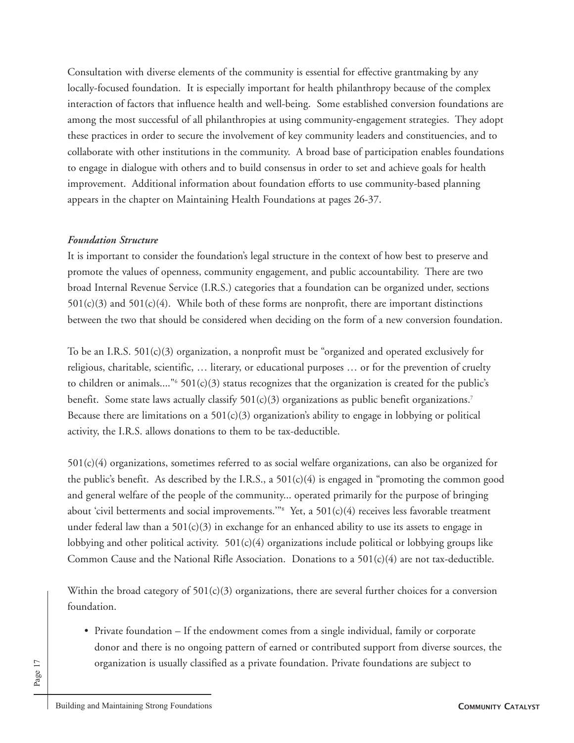Consultation with diverse elements of the community is essential for effective grantmaking by any locally-focused foundation. It is especially important for health philanthropy because of the complex interaction of factors that influence health and well-being. Some established conversion foundations are among the most successful of all philanthropies at using community-engagement strategies. They adopt these practices in order to secure the involvement of key community leaders and constituencies, and to collaborate with other institutions in the community. A broad base of participation enables foundations to engage in dialogue with others and to build consensus in order to set and achieve goals for health improvement. Additional information about foundation efforts to use community-based planning appears in the chapter on Maintaining Health Foundations at pages 26-37.

#### *Foundation Structure*

It is important to consider the foundation's legal structure in the context of how best to preserve and promote the values of openness, community engagement, and public accountability. There are two broad Internal Revenue Service (I.R.S.) categories that a foundation can be organized under, sections  $501(c)(3)$  and  $501(c)(4)$ . While both of these forms are nonprofit, there are important distinctions between the two that should be considered when deciding on the form of a new conversion foundation.

To be an I.R.S. 501(c)(3) organization, a nonprofit must be "organized and operated exclusively for religious, charitable, scientific, … literary, or educational purposes … or for the prevention of cruelty to children or animals...." $6\frac{501(c)}{3}$  status recognizes that the organization is created for the public's benefit. Some state laws actually classify 501(c)(3) organizations as public benefit organizations.<sup>7</sup> Because there are limitations on a  $501(c)(3)$  organization's ability to engage in lobbying or political activity, the I.R.S. allows donations to them to be tax-deductible.

501(c)(4) organizations, sometimes referred to as social welfare organizations, can also be organized for the public's benefit. As described by the I.R.S., a  $501(c)(4)$  is engaged in "promoting the common good and general welfare of the people of the community... operated primarily for the purpose of bringing about 'civil betterments and social improvements.'"8 Yet, a 501(c)(4) receives less favorable treatment under federal law than a  $501(c)(3)$  in exchange for an enhanced ability to use its assets to engage in lobbying and other political activity.  $501(c)(4)$  organizations include political or lobbying groups like Common Cause and the National Rifle Association. Donations to a  $501(c)(4)$  are not tax-deductible.

Within the broad category of  $501(c)(3)$  organizations, there are several further choices for a conversion foundation.

• Private foundation – If the endowment comes from a single individual, family or corporate donor and there is no ongoing pattern of earned or contributed support from diverse sources, the organization is usually classified as a private foundation. Private foundations are subject to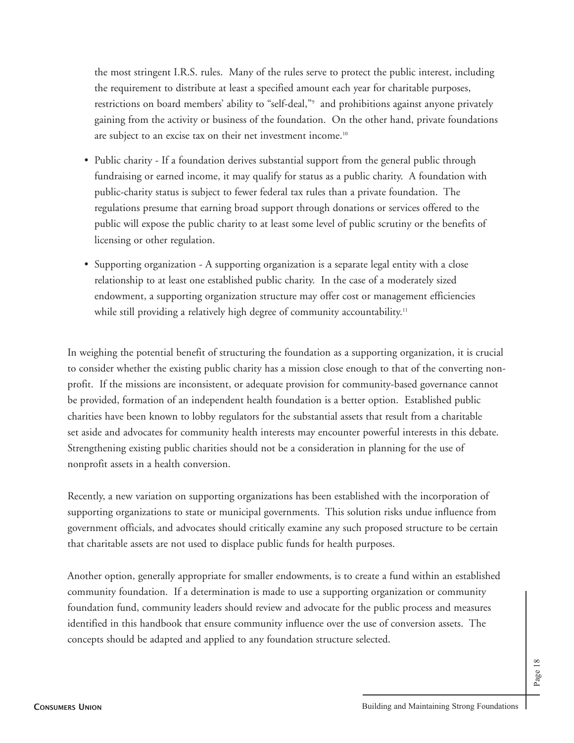the most stringent I.R.S. rules. Many of the rules serve to protect the public interest, including the requirement to distribute at least a specified amount each year for charitable purposes, restrictions on board members' ability to "self-deal,"<sup>9</sup> and prohibitions against anyone privately gaining from the activity or business of the foundation. On the other hand, private foundations are subject to an excise tax on their net investment income.10

- Public charity If a foundation derives substantial support from the general public through fundraising or earned income, it may qualify for status as a public charity. A foundation with public-charity status is subject to fewer federal tax rules than a private foundation. The regulations presume that earning broad support through donations or services offered to the public will expose the public charity to at least some level of public scrutiny or the benefits of licensing or other regulation.
- Supporting organization A supporting organization is a separate legal entity with a close relationship to at least one established public charity. In the case of a moderately sized endowment, a supporting organization structure may offer cost or management efficiencies while still providing a relatively high degree of community accountability.<sup>11</sup>

In weighing the potential benefit of structuring the foundation as a supporting organization, it is crucial to consider whether the existing public charity has a mission close enough to that of the converting nonprofit. If the missions are inconsistent, or adequate provision for community-based governance cannot be provided, formation of an independent health foundation is a better option. Established public charities have been known to lobby regulators for the substantial assets that result from a charitable set aside and advocates for community health interests may encounter powerful interests in this debate. Strengthening existing public charities should not be a consideration in planning for the use of nonprofit assets in a health conversion.

Recently, a new variation on supporting organizations has been established with the incorporation of supporting organizations to state or municipal governments. This solution risks undue influence from government officials, and advocates should critically examine any such proposed structure to be certain that charitable assets are not used to displace public funds for health purposes.

Another option, generally appropriate for smaller endowments, is to create a fund within an established community foundation. If a determination is made to use a supporting organization or community foundation fund, community leaders should review and advocate for the public process and measures identified in this handbook that ensure community influence over the use of conversion assets. The concepts should be adapted and applied to any foundation structure selected.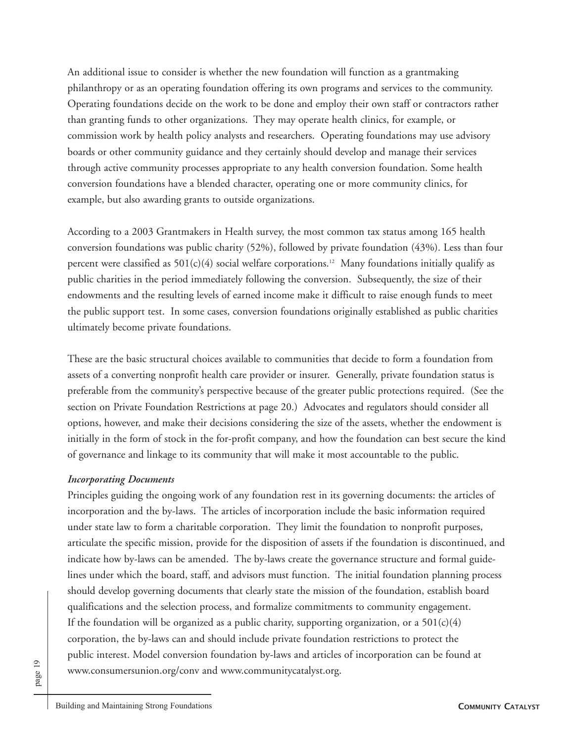An additional issue to consider is whether the new foundation will function as a grantmaking philanthropy or as an operating foundation offering its own programs and services to the community. Operating foundations decide on the work to be done and employ their own staff or contractors rather than granting funds to other organizations. They may operate health clinics, for example, or commission work by health policy analysts and researchers. Operating foundations may use advisory boards or other community guidance and they certainly should develop and manage their services through active community processes appropriate to any health conversion foundation. Some health conversion foundations have a blended character, operating one or more community clinics, for example, but also awarding grants to outside organizations.

According to a 2003 Grantmakers in Health survey, the most common tax status among 165 health conversion foundations was public charity (52%), followed by private foundation (43%). Less than four percent were classified as  $501(c)(4)$  social welfare corporations.<sup>12</sup> Many foundations initially qualify as public charities in the period immediately following the conversion. Subsequently, the size of their endowments and the resulting levels of earned income make it difficult to raise enough funds to meet the public support test. In some cases, conversion foundations originally established as public charities ultimately become private foundations.

These are the basic structural choices available to communities that decide to form a foundation from assets of a converting nonprofit health care provider or insurer. Generally, private foundation status is preferable from the community's perspective because of the greater public protections required. (See the section on Private Foundation Restrictions at page 20.) Advocates and regulators should consider all options, however, and make their decisions considering the size of the assets, whether the endowment is initially in the form of stock in the for-profit company, and how the foundation can best secure the kind of governance and linkage to its community that will make it most accountable to the public.

#### *Incorporating Documents*

Principles guiding the ongoing work of any foundation rest in its governing documents: the articles of incorporation and the by-laws. The articles of incorporation include the basic information required under state law to form a charitable corporation. They limit the foundation to nonprofit purposes, articulate the specific mission, provide for the disposition of assets if the foundation is discontinued, and indicate how by-laws can be amended. The by-laws create the governance structure and formal guidelines under which the board, staff, and advisors must function. The initial foundation planning process should develop governing documents that clearly state the mission of the foundation, establish board qualifications and the selection process, and formalize commitments to community engagement. If the foundation will be organized as a public charity, supporting organization, or a  $501(c)(4)$ corporation, the by-laws can and should include private foundation restrictions to protect the public interest. Model conversion foundation by-laws and articles of incorporation can be found at www.consumersunion.org/conv and www.communitycatalyst.org.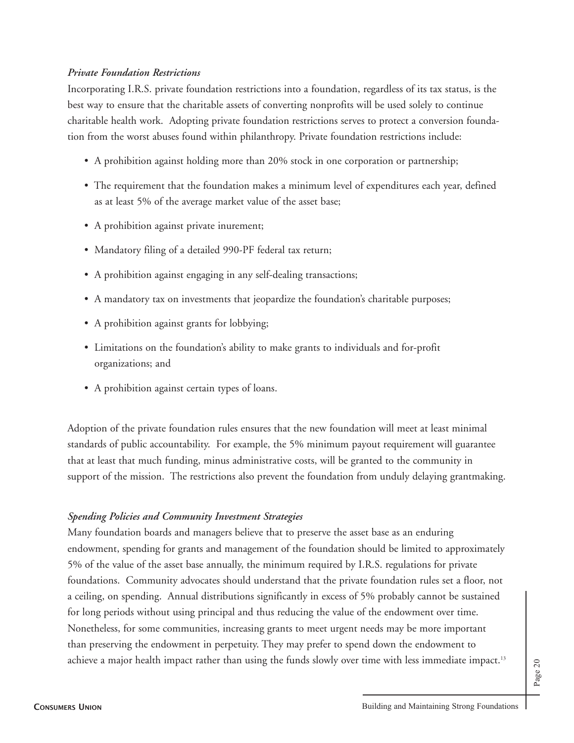### *Private Foundation Restrictions*

Incorporating I.R.S. private foundation restrictions into a foundation, regardless of its tax status, is the best way to ensure that the charitable assets of converting nonprofits will be used solely to continue charitable health work. Adopting private foundation restrictions serves to protect a conversion foundation from the worst abuses found within philanthropy. Private foundation restrictions include:

- A prohibition against holding more than 20% stock in one corporation or partnership;
- The requirement that the foundation makes a minimum level of expenditures each year, defined as at least 5% of the average market value of the asset base;
- A prohibition against private inurement;
- Mandatory filing of a detailed 990-PF federal tax return;
- A prohibition against engaging in any self-dealing transactions;
- A mandatory tax on investments that jeopardize the foundation's charitable purposes;
- A prohibition against grants for lobbying;
- Limitations on the foundation's ability to make grants to individuals and for-profit organizations; and
- A prohibition against certain types of loans.

Adoption of the private foundation rules ensures that the new foundation will meet at least minimal standards of public accountability. For example, the 5% minimum payout requirement will guarantee that at least that much funding, minus administrative costs, will be granted to the community in support of the mission. The restrictions also prevent the foundation from unduly delaying grantmaking.

### *Spending Policies and Community Investment Strategies*

Many foundation boards and managers believe that to preserve the asset base as an enduring endowment, spending for grants and management of the foundation should be limited to approximately 5% of the value of the asset base annually, the minimum required by I.R.S. regulations for private foundations. Community advocates should understand that the private foundation rules set a floor, not a ceiling, on spending. Annual distributions significantly in excess of 5% probably cannot be sustained for long periods without using principal and thus reducing the value of the endowment over time. Nonetheless, for some communities, increasing grants to meet urgent needs may be more important than preserving the endowment in perpetuity. They may prefer to spend down the endowment to achieve a major health impact rather than using the funds slowly over time with less immediate impact.<sup>13</sup>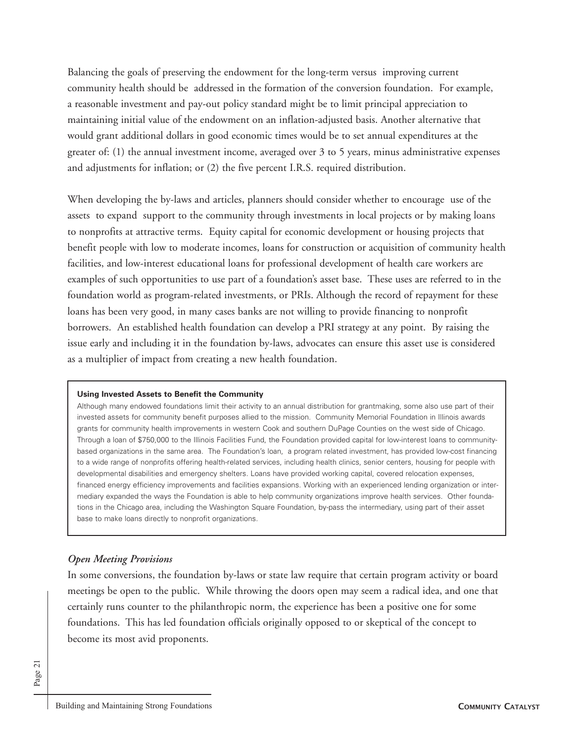Balancing the goals of preserving the endowment for the long-term versus improving current community health should be addressed in the formation of the conversion foundation. For example, a reasonable investment and pay-out policy standard might be to limit principal appreciation to maintaining initial value of the endowment on an inflation-adjusted basis. Another alternative that would grant additional dollars in good economic times would be to set annual expenditures at the greater of: (1) the annual investment income, averaged over 3 to 5 years, minus administrative expenses and adjustments for inflation; or (2) the five percent I.R.S. required distribution.

When developing the by-laws and articles, planners should consider whether to encourage use of the assets to expand support to the community through investments in local projects or by making loans to nonprofits at attractive terms. Equity capital for economic development or housing projects that benefit people with low to moderate incomes, loans for construction or acquisition of community health facilities, and low-interest educational loans for professional development of health care workers are examples of such opportunities to use part of a foundation's asset base. These uses are referred to in the foundation world as program-related investments, or PRIs. Although the record of repayment for these loans has been very good, in many cases banks are not willing to provide financing to nonprofit borrowers. An established health foundation can develop a PRI strategy at any point. By raising the issue early and including it in the foundation by-laws, advocates can ensure this asset use is considered as a multiplier of impact from creating a new health foundation.

#### **Using Invested Assets to Benefit the Community**

Although many endowed foundations limit their activity to an annual distribution for grantmaking, some also use part of their invested assets for community benefit purposes allied to the mission. Community Memorial Foundation in Illinois awards grants for community health improvements in western Cook and southern DuPage Counties on the west side of Chicago. Through a loan of \$750,000 to the Illinois Facilities Fund, the Foundation provided capital for low-interest loans to communitybased organizations in the same area. The Foundation's loan, a program related investment, has provided low-cost financing to a wide range of nonprofits offering health-related services, including health clinics, senior centers, housing for people with developmental disabilities and emergency shelters. Loans have provided working capital, covered relocation expenses, financed energy efficiency improvements and facilities expansions. Working with an experienced lending organization or intermediary expanded the ways the Foundation is able to help community organizations improve health services. Other foundations in the Chicago area, including the Washington Square Foundation, by-pass the intermediary, using part of their asset base to make loans directly to nonprofit organizations.

#### *Open Meeting Provisions*

In some conversions, the foundation by-laws or state law require that certain program activity or board meetings be open to the public. While throwing the doors open may seem a radical idea, and one that certainly runs counter to the philanthropic norm, the experience has been a positive one for some foundations. This has led foundation officials originally opposed to or skeptical of the concept to become its most avid proponents.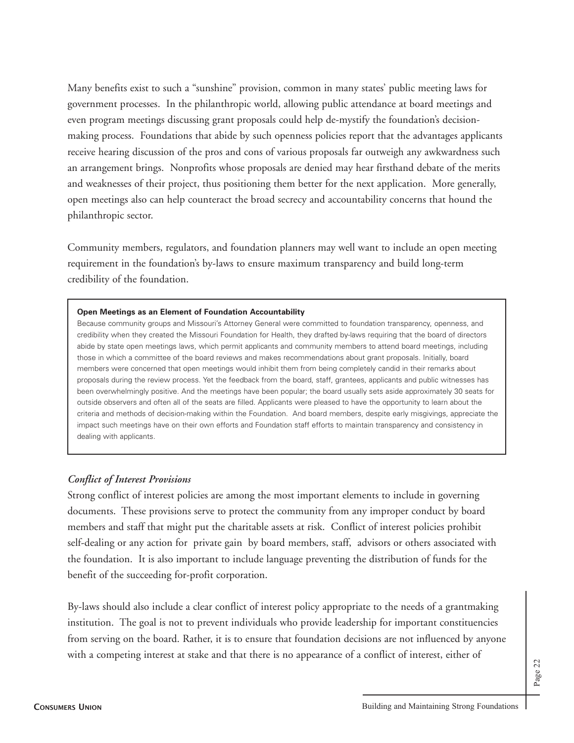Many benefits exist to such a "sunshine" provision, common in many states' public meeting laws for government processes. In the philanthropic world, allowing public attendance at board meetings and even program meetings discussing grant proposals could help de-mystify the foundation's decisionmaking process. Foundations that abide by such openness policies report that the advantages applicants receive hearing discussion of the pros and cons of various proposals far outweigh any awkwardness such an arrangement brings. Nonprofits whose proposals are denied may hear firsthand debate of the merits and weaknesses of their project, thus positioning them better for the next application. More generally, open meetings also can help counteract the broad secrecy and accountability concerns that hound the philanthropic sector.

Community members, regulators, and foundation planners may well want to include an open meeting requirement in the foundation's by-laws to ensure maximum transparency and build long-term credibility of the foundation.

#### **Open Meetings as an Element of Foundation Accountability**

Because community groups and Missouri's Attorney General were committed to foundation transparency, openness, and credibility when they created the Missouri Foundation for Health, they drafted by-laws requiring that the board of directors abide by state open meetings laws, which permit applicants and community members to attend board meetings, including those in which a committee of the board reviews and makes recommendations about grant proposals. Initially, board members were concerned that open meetings would inhibit them from being completely candid in their remarks about proposals during the review process. Yet the feedback from the board, staff, grantees, applicants and public witnesses has been overwhelmingly positive. And the meetings have been popular; the board usually sets aside approximately 30 seats for outside observers and often all of the seats are filled. Applicants were pleased to have the opportunity to learn about the criteria and methods of decision-making within the Foundation. And board members, despite early misgivings, appreciate the impact such meetings have on their own efforts and Foundation staff efforts to maintain transparency and consistency in dealing with applicants.

#### *Conflict of Interest Provisions*

Strong conflict of interest policies are among the most important elements to include in governing documents. These provisions serve to protect the community from any improper conduct by board members and staff that might put the charitable assets at risk. Conflict of interest policies prohibit self-dealing or any action for private gain by board members, staff, advisors or others associated with the foundation. It is also important to include language preventing the distribution of funds for the benefit of the succeeding for-profit corporation.

By-laws should also include a clear conflict of interest policy appropriate to the needs of a grantmaking institution. The goal is not to prevent individuals who provide leadership for important constituencies from serving on the board. Rather, it is to ensure that foundation decisions are not influenced by anyone with a competing interest at stake and that there is no appearance of a conflict of interest, either of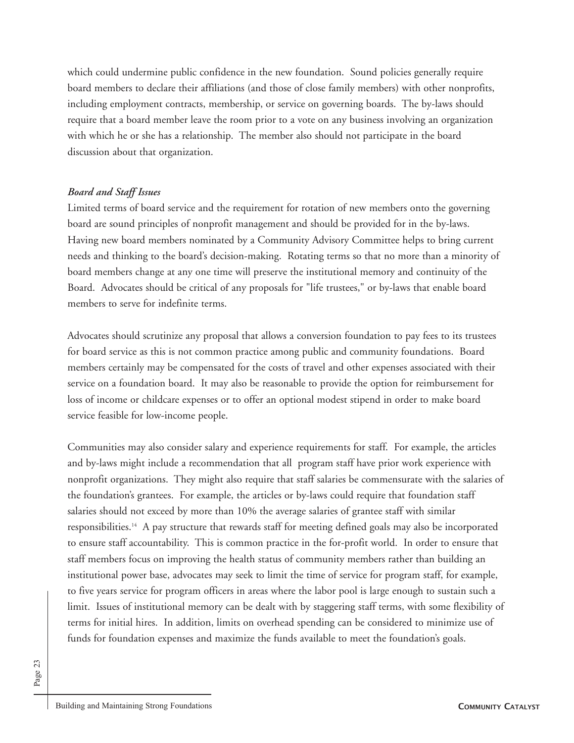which could undermine public confidence in the new foundation. Sound policies generally require board members to declare their affiliations (and those of close family members) with other nonprofits, including employment contracts, membership, or service on governing boards. The by-laws should require that a board member leave the room prior to a vote on any business involving an organization with which he or she has a relationship. The member also should not participate in the board discussion about that organization.

### *Board and Staff Issues*

Limited terms of board service and the requirement for rotation of new members onto the governing board are sound principles of nonprofit management and should be provided for in the by-laws. Having new board members nominated by a Community Advisory Committee helps to bring current needs and thinking to the board's decision-making. Rotating terms so that no more than a minority of board members change at any one time will preserve the institutional memory and continuity of the Board. Advocates should be critical of any proposals for "life trustees," or by-laws that enable board members to serve for indefinite terms.

Advocates should scrutinize any proposal that allows a conversion foundation to pay fees to its trustees for board service as this is not common practice among public and community foundations. Board members certainly may be compensated for the costs of travel and other expenses associated with their service on a foundation board. It may also be reasonable to provide the option for reimbursement for loss of income or childcare expenses or to offer an optional modest stipend in order to make board service feasible for low-income people.

Communities may also consider salary and experience requirements for staff. For example, the articles and by-laws might include a recommendation that all program staff have prior work experience with nonprofit organizations. They might also require that staff salaries be commensurate with the salaries of the foundation's grantees. For example, the articles or by-laws could require that foundation staff salaries should not exceed by more than 10% the average salaries of grantee staff with similar responsibilities.14 A pay structure that rewards staff for meeting defined goals may also be incorporated to ensure staff accountability. This is common practice in the for-profit world. In order to ensure that staff members focus on improving the health status of community members rather than building an institutional power base, advocates may seek to limit the time of service for program staff, for example, to five years service for program officers in areas where the labor pool is large enough to sustain such a limit. Issues of institutional memory can be dealt with by staggering staff terms, with some flexibility of terms for initial hires. In addition, limits on overhead spending can be considered to minimize use of funds for foundation expenses and maximize the funds available to meet the foundation's goals.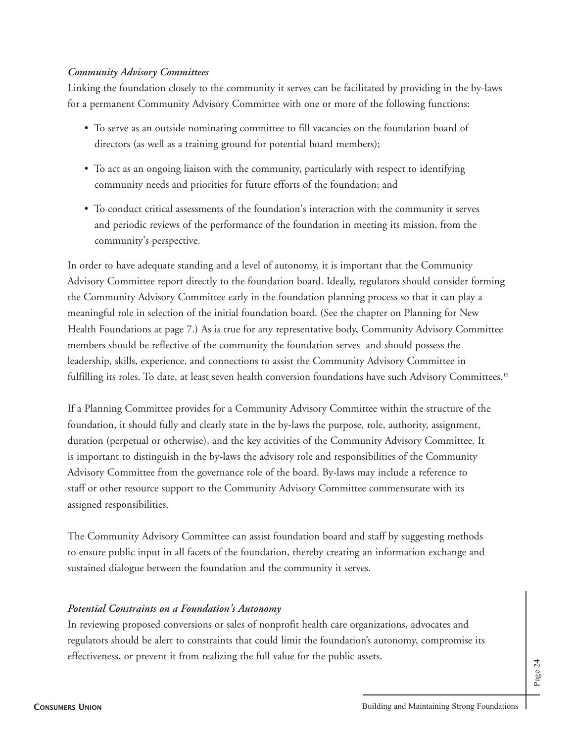### *Community Advisory Committees*

Linking the foundation closely to the community it serves can be facilitated by providing in the by-laws for a permanent Community Advisory Committee with one or more of the following functions:

- To serve as an outside nominating committee to fill vacancies on the foundation board of directors (as well as a training ground for potential board members);
- To act as an ongoing liaison with the community, particularly with respect to identifying community needs and priorities for future efforts of the foundation; and
- To conduct critical assessments of the foundation's interaction with the community it serves and periodic reviews of the performance of the foundation in meeting its mission, from the community's perspective.

In order to have adequate standing and a level of autonomy, it is important that the Community Advisory Committee report directly to the foundation board. Ideally, regulators should consider forming the Community Advisory Committee early in the foundation planning process so that it can play a meaningful role in selection of the initial foundation board. (See the chapter on Planning for New Health Foundations at page 7.) As is true for any representative body, Community Advisory Committee members should be reflective of the community the foundation serves and should possess the leadership, skills, experience, and connections to assist the Community Advisory Committee in fulfilling its roles. To date, at least seven health conversion foundations have such Advisory Committees.<sup>15</sup>

If a Planning Committee provides for a Community Advisory Committee within the structure of the foundation, it should fully and clearly state in the by-laws the purpose, role, authority, assignment, duration (perpetual or otherwise), and the key activities of the Community Advisory Committee. It is important to distinguish in the by-laws the advisory role and responsibilities of the Community Advisory Committee from the governance role of the board. By-laws may include a reference to staff or other resource support to the Community Advisory Committee commensurate with its assigned responsibilities.

The Community Advisory Committee can assist foundation board and staff by suggesting methods to ensure public input in all facets of the foundation, thereby creating an information exchange and sustained dialogue between the foundation and the community it serves.

#### *Potential Constraints on a Foundation's Autonomy*

In reviewing proposed conversions or sales of nonprofit health care organizations, advocates and regulators should be alert to constraints that could limit the foundation's autonomy, compromise its effectiveness, or prevent it from realizing the full value for the public assets.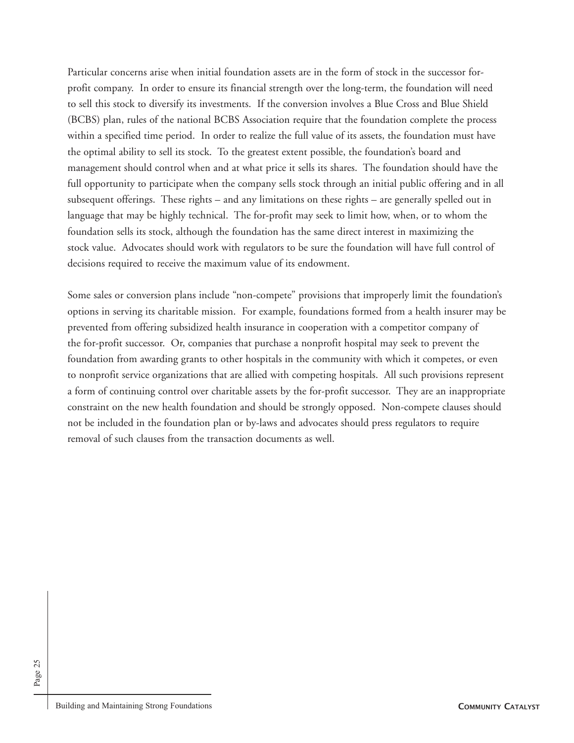Particular concerns arise when initial foundation assets are in the form of stock in the successor forprofit company. In order to ensure its financial strength over the long-term, the foundation will need to sell this stock to diversify its investments. If the conversion involves a Blue Cross and Blue Shield (BCBS) plan, rules of the national BCBS Association require that the foundation complete the process within a specified time period. In order to realize the full value of its assets, the foundation must have the optimal ability to sell its stock. To the greatest extent possible, the foundation's board and management should control when and at what price it sells its shares. The foundation should have the full opportunity to participate when the company sells stock through an initial public offering and in all subsequent offerings. These rights – and any limitations on these rights – are generally spelled out in language that may be highly technical. The for-profit may seek to limit how, when, or to whom the foundation sells its stock, although the foundation has the same direct interest in maximizing the stock value. Advocates should work with regulators to be sure the foundation will have full control of decisions required to receive the maximum value of its endowment.

Some sales or conversion plans include "non-compete" provisions that improperly limit the foundation's options in serving its charitable mission. For example, foundations formed from a health insurer may be prevented from offering subsidized health insurance in cooperation with a competitor company of the for-profit successor. Or, companies that purchase a nonprofit hospital may seek to prevent the foundation from awarding grants to other hospitals in the community with which it competes, or even to nonprofit service organizations that are allied with competing hospitals. All such provisions represent a form of continuing control over charitable assets by the for-profit successor. They are an inappropriate constraint on the new health foundation and should be strongly opposed. Non-compete clauses should not be included in the foundation plan or by-laws and advocates should press regulators to require removal of such clauses from the transaction documents as well.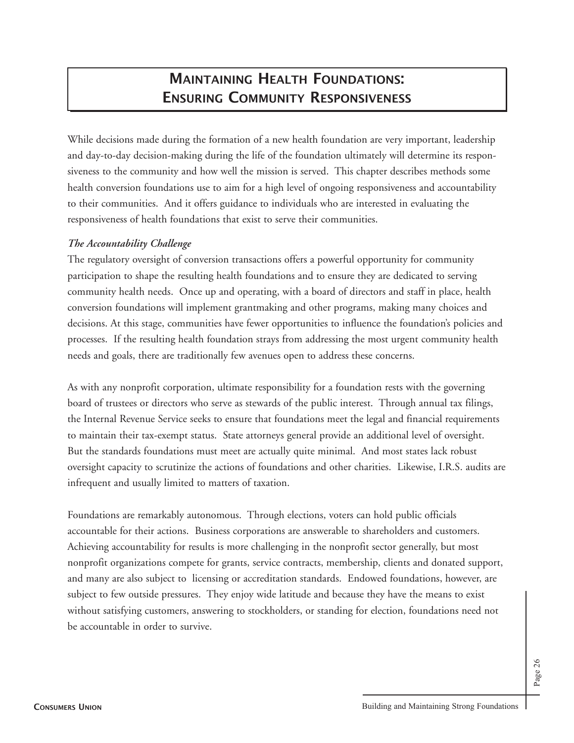## **MAINTAINING HEALTH FOUNDATIONS: ENSURING COMMUNITY RESPONSIVENESS**

While decisions made during the formation of a new health foundation are very important, leadership and day-to-day decision-making during the life of the foundation ultimately will determine its responsiveness to the community and how well the mission is served. This chapter describes methods some health conversion foundations use to aim for a high level of ongoing responsiveness and accountability to their communities. And it offers guidance to individuals who are interested in evaluating the responsiveness of health foundations that exist to serve their communities.

### *The Accountability Challenge*

The regulatory oversight of conversion transactions offers a powerful opportunity for community participation to shape the resulting health foundations and to ensure they are dedicated to serving community health needs. Once up and operating, with a board of directors and staff in place, health conversion foundations will implement grantmaking and other programs, making many choices and decisions. At this stage, communities have fewer opportunities to influence the foundation's policies and processes. If the resulting health foundation strays from addressing the most urgent community health needs and goals, there are traditionally few avenues open to address these concerns.

As with any nonprofit corporation, ultimate responsibility for a foundation rests with the governing board of trustees or directors who serve as stewards of the public interest. Through annual tax filings, the Internal Revenue Service seeks to ensure that foundations meet the legal and financial requirements to maintain their tax-exempt status. State attorneys general provide an additional level of oversight. But the standards foundations must meet are actually quite minimal. And most states lack robust oversight capacity to scrutinize the actions of foundations and other charities. Likewise, I.R.S. audits are infrequent and usually limited to matters of taxation.

Foundations are remarkably autonomous. Through elections, voters can hold public officials accountable for their actions. Business corporations are answerable to shareholders and customers. Achieving accountability for results is more challenging in the nonprofit sector generally, but most nonprofit organizations compete for grants, service contracts, membership, clients and donated support, and many are also subject to licensing or accreditation standards. Endowed foundations, however, are subject to few outside pressures. They enjoy wide latitude and because they have the means to exist without satisfying customers, answering to stockholders, or standing for election, foundations need not be accountable in order to survive.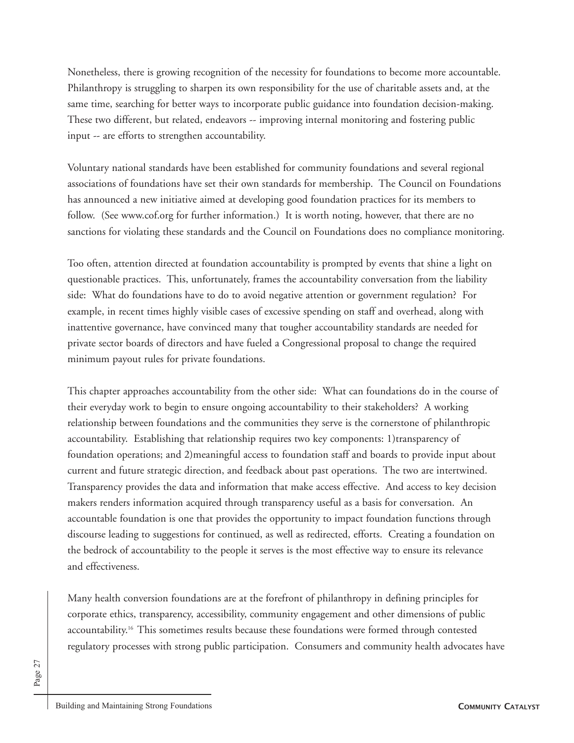Nonetheless, there is growing recognition of the necessity for foundations to become more accountable. Philanthropy is struggling to sharpen its own responsibility for the use of charitable assets and, at the same time, searching for better ways to incorporate public guidance into foundation decision-making. These two different, but related, endeavors -- improving internal monitoring and fostering public input -- are efforts to strengthen accountability.

Voluntary national standards have been established for community foundations and several regional associations of foundations have set their own standards for membership. The Council on Foundations has announced a new initiative aimed at developing good foundation practices for its members to follow. (See www.cof.org for further information.) It is worth noting, however, that there are no sanctions for violating these standards and the Council on Foundations does no compliance monitoring.

Too often, attention directed at foundation accountability is prompted by events that shine a light on questionable practices. This, unfortunately, frames the accountability conversation from the liability side: What do foundations have to do to avoid negative attention or government regulation? For example, in recent times highly visible cases of excessive spending on staff and overhead, along with inattentive governance, have convinced many that tougher accountability standards are needed for private sector boards of directors and have fueled a Congressional proposal to change the required minimum payout rules for private foundations.

This chapter approaches accountability from the other side: What can foundations do in the course of their everyday work to begin to ensure ongoing accountability to their stakeholders? A working relationship between foundations and the communities they serve is the cornerstone of philanthropic accountability. Establishing that relationship requires two key components: 1)transparency of foundation operations; and 2)meaningful access to foundation staff and boards to provide input about current and future strategic direction, and feedback about past operations. The two are intertwined. Transparency provides the data and information that make access effective. And access to key decision makers renders information acquired through transparency useful as a basis for conversation. An accountable foundation is one that provides the opportunity to impact foundation functions through discourse leading to suggestions for continued, as well as redirected, efforts. Creating a foundation on the bedrock of accountability to the people it serves is the most effective way to ensure its relevance and effectiveness.

Many health conversion foundations are at the forefront of philanthropy in defining principles for corporate ethics, transparency, accessibility, community engagement and other dimensions of public accountability.16 This sometimes results because these foundations were formed through contested regulatory processes with strong public participation. Consumers and community health advocates have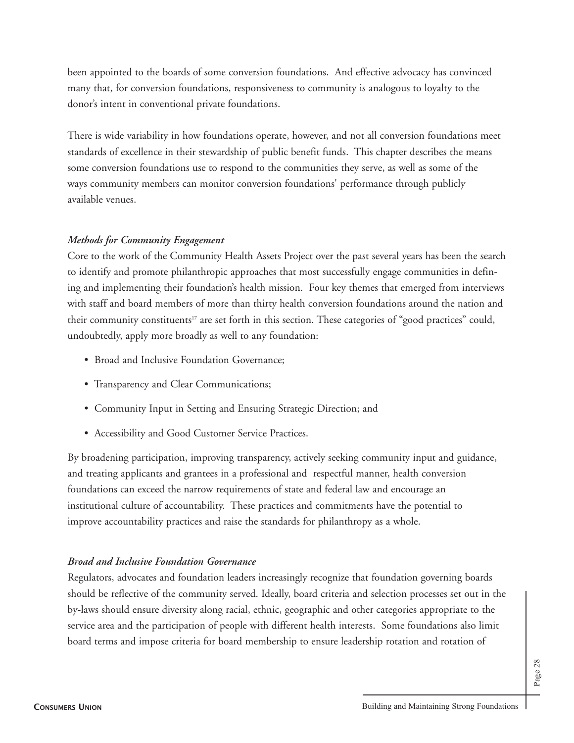been appointed to the boards of some conversion foundations. And effective advocacy has convinced many that, for conversion foundations, responsiveness to community is analogous to loyalty to the donor's intent in conventional private foundations.

There is wide variability in how foundations operate, however, and not all conversion foundations meet standards of excellence in their stewardship of public benefit funds. This chapter describes the means some conversion foundations use to respond to the communities they serve, as well as some of the ways community members can monitor conversion foundations' performance through publicly available venues.

## *Methods for Community Engagement*

Core to the work of the Community Health Assets Project over the past several years has been the search to identify and promote philanthropic approaches that most successfully engage communities in defining and implementing their foundation's health mission. Four key themes that emerged from interviews with staff and board members of more than thirty health conversion foundations around the nation and their community constituents<sup>17</sup> are set forth in this section. These categories of "good practices" could, undoubtedly, apply more broadly as well to any foundation:

- Broad and Inclusive Foundation Governance;
- Transparency and Clear Communications;
- Community Input in Setting and Ensuring Strategic Direction; and
- Accessibility and Good Customer Service Practices.

By broadening participation, improving transparency, actively seeking community input and guidance, and treating applicants and grantees in a professional and respectful manner, health conversion foundations can exceed the narrow requirements of state and federal law and encourage an institutional culture of accountability. These practices and commitments have the potential to improve accountability practices and raise the standards for philanthropy as a whole.

### *Broad and Inclusive Foundation Governance*

Regulators, advocates and foundation leaders increasingly recognize that foundation governing boards should be reflective of the community served. Ideally, board criteria and selection processes set out in the by-laws should ensure diversity along racial, ethnic, geographic and other categories appropriate to the service area and the participation of people with different health interests. Some foundations also limit board terms and impose criteria for board membership to ensure leadership rotation and rotation of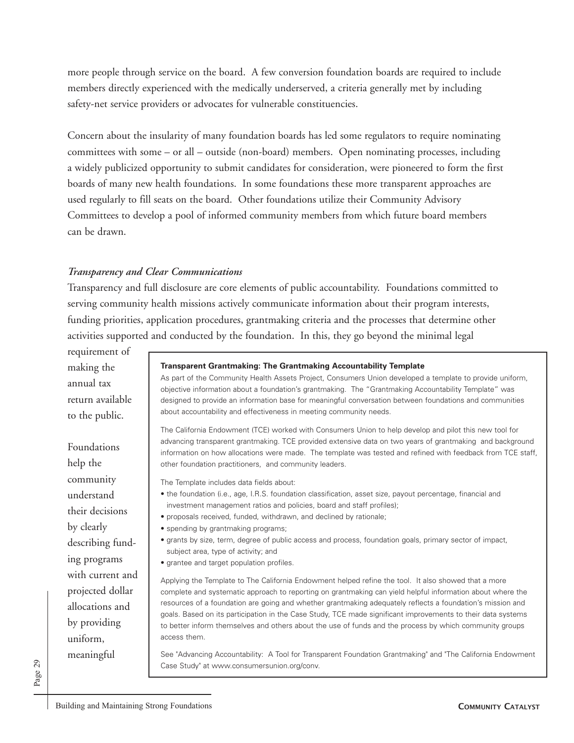more people through service on the board. A few conversion foundation boards are required to include members directly experienced with the medically underserved, a criteria generally met by including safety-net service providers or advocates for vulnerable constituencies.

Concern about the insularity of many foundation boards has led some regulators to require nominating committees with some – or all – outside (non-board) members. Open nominating processes, including a widely publicized opportunity to submit candidates for consideration, were pioneered to form the first boards of many new health foundations. In some foundations these more transparent approaches are used regularly to fill seats on the board. Other foundations utilize their Community Advisory Committees to develop a pool of informed community members from which future board members can be drawn.

#### *Transparency and Clear Communications*

Transparency and full disclosure are core elements of public accountability. Foundations committed to serving community health missions actively communicate information about their program interests, funding priorities, application procedures, grantmaking criteria and the processes that determine other activities supported and conducted by the foundation. In this, they go beyond the minimal legal

requirement of making the annual tax return available to the public.

#### **Transparent Grantmaking: The Grantmaking Accountability Template**

As part of the Community Health Assets Project, Consumers Union developed a template to provide uniform, objective information about a foundation's grantmaking. The "Grantmaking Accountability Template" was designed to provide an information base for meaningful conversation between foundations and communities about accountability and effectiveness in meeting community needs.

The California Endowment (TCE) worked with Consumers Union to help develop and pilot this new tool for advancing transparent grantmaking. TCE provided extensive data on two years of grantmaking and background information on how allocations were made. The template was tested and refined with feedback from TCE staff, other foundation practitioners, and community leaders.

The Template includes data fields about:

- the foundation (i.e., age, I.R.S. foundation classification, asset size, payout percentage, financial and investment management ratios and policies, board and staff profiles);
- proposals received, funded, withdrawn, and declined by rationale;
- spending by grantmaking programs;
- grants by size, term, degree of public access and process, foundation goals, primary sector of impact, subject area, type of activity; and
- grantee and target population profiles.

Applying the Template to The California Endowment helped refine the tool. It also showed that a more complete and systematic approach to reporting on grantmaking can yield helpful information about where the resources of a foundation are going and whether grantmaking adequately reflects a foundation's mission and goals. Based on its participation in the Case Study, TCE made significant improvements to their data systems to better inform themselves and others about the use of funds and the process by which community groups access them.

See "Advancing Accountability: A Tool for Transparent Foundation Grantmaking" and "The California Endowment Case Study" at www.consumersunion.org/conv.

Foundations help the community understand their decisions by clearly describing funding programs with current and projected dollar allocations and by providing uniform, meaningful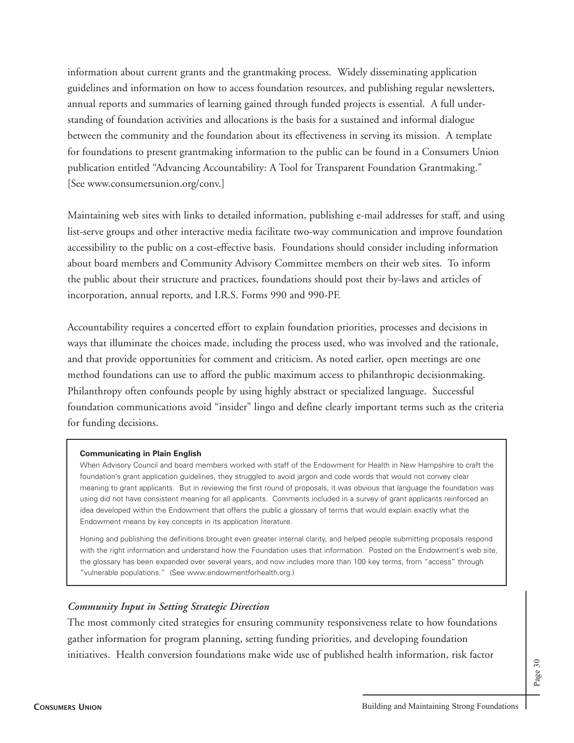information about current grants and the grantmaking process. Widely disseminating application guidelines and information on how to access foundation resources, and publishing regular newsletters, annual reports and summaries of learning gained through funded projects is essential. A full understanding of foundation activities and allocations is the basis for a sustained and informal dialogue between the community and the foundation about its effectiveness in serving its mission. A template for foundations to present grantmaking information to the public can be found in a Consumers Union publication entitled "Advancing Accountability: A Tool for Transparent Foundation Grantmaking." [See www.consumersunion.org/conv.]

Maintaining web sites with links to detailed information, publishing e-mail addresses for staff, and using list-serve groups and other interactive media facilitate two-way communication and improve foundation accessibility to the public on a cost-effective basis. Foundations should consider including information about board members and Community Advisory Committee members on their web sites. To inform the public about their structure and practices, foundations should post their by-laws and articles of incorporation, annual reports, and I.R.S. Forms 990 and 990-PF.

Accountability requires a concerted effort to explain foundation priorities, processes and decisions in ways that illuminate the choices made, including the process used, who was involved and the rationale, and that provide opportunities for comment and criticism. As noted earlier, open meetings are one method foundations can use to afford the public maximum access to philanthropic decisionmaking. Philanthropy often confounds people by using highly abstract or specialized language. Successful foundation communications avoid "insider" lingo and define clearly important terms such as the criteria for funding decisions.

#### **Communicating in Plain English**

When Advisory Council and board members worked with staff of the Endowment for Health in New Hampshire to craft the foundation's grant application guidelines, they struggled to avoid jargon and code words that would not convey clear meaning to grant applicants. But in reviewing the first round of proposals, it was obvious that language the foundation was using did not have consistent meaning for all applicants. Comments included in a survey of grant applicants reinforced an idea developed within the Endowment that offers the public a glossary of terms that would explain exactly what the Endowment means by key concepts in its application literature.

Honing and publishing the definitions brought even greater internal clarity, and helped people submitting proposals respond with the right information and understand how the Foundation uses that information. Posted on the Endowment's web site, the glossary has been expanded over several years, and now includes more than 100 key terms, from "access" through "vulnerable populations." (See www.endowmentforhealth.org.)

#### *Community Input in Setting Strategic Direction*

The most commonly cited strategies for ensuring community responsiveness relate to how foundations gather information for program planning, setting funding priorities, and developing foundation initiatives. Health conversion foundations make wide use of published health information, risk factor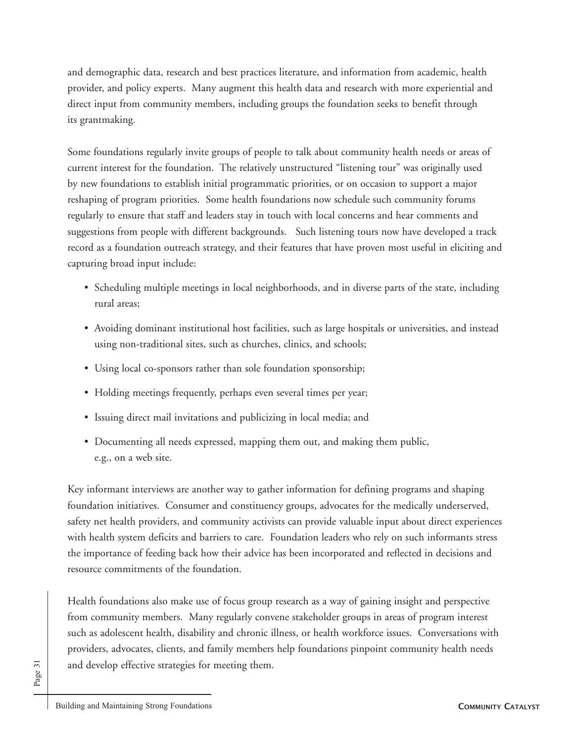and demographic data, research and best practices literature, and information from academic, health provider, and policy experts. Many augment this health data and research with more experiential and direct input from community members, including groups the foundation seeks to benefit through its grantmaking.

Some foundations regularly invite groups of people to talk about community health needs or areas of current interest for the foundation. The relatively unstructured "listening tour" was originally used by new foundations to establish initial programmatic priorities, or on occasion to support a major reshaping of program priorities. Some health foundations now schedule such community forums regularly to ensure that staff and leaders stay in touch with local concerns and hear comments and suggestions from people with different backgrounds. Such listening tours now have developed a track record as a foundation outreach strategy, and their features that have proven most useful in eliciting and capturing broad input include:

- Scheduling multiple meetings in local neighborhoods, and in diverse parts of the state, including rural areas;
- Avoiding dominant institutional host facilities, such as large hospitals or universities, and instead using non-traditional sites, such as churches, clinics, and schools;
- Using local co-sponsors rather than sole foundation sponsorship;
- Holding meetings frequently, perhaps even several times per year;
- Issuing direct mail invitations and publicizing in local media; and
- Documenting all needs expressed, mapping them out, and making them public, e.g., on a web site.

Key informant interviews are another way to gather information for defining programs and shaping foundation initiatives. Consumer and constituency groups, advocates for the medically underserved, safety net health providers, and community activists can provide valuable input about direct experiences with health system deficits and barriers to care. Foundation leaders who rely on such informants stress the importance of feeding back how their advice has been incorporated and reflected in decisions and resource commitments of the foundation.

Health foundations also make use of focus group research as a way of gaining insight and perspective from community members. Many regularly convene stakeholder groups in areas of program interest such as adolescent health, disability and chronic illness, or health workforce issues. Conversations with providers, advocates, clients, and family members help foundations pinpoint community health needs and develop effective strategies for meeting them.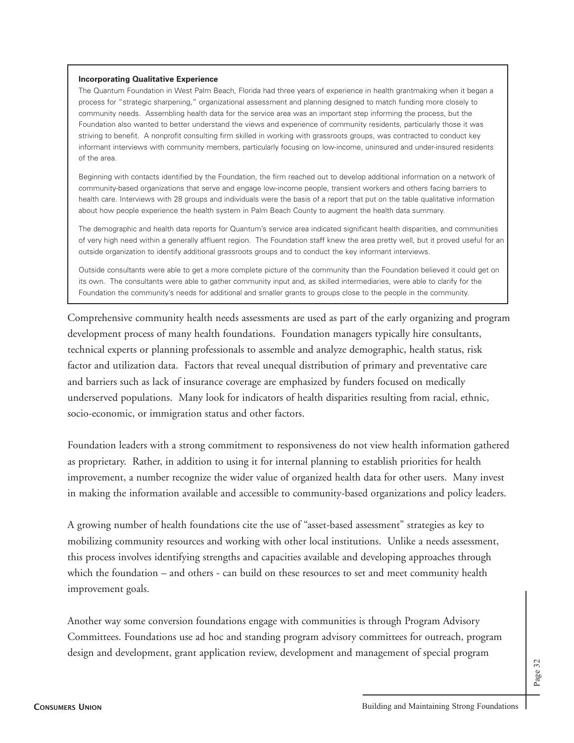#### **Incorporating Qualitative Experience**

The Quantum Foundation in West Palm Beach, Florida had three years of experience in health grantmaking when it began a process for "strategic sharpening," organizational assessment and planning designed to match funding more closely to community needs. Assembling health data for the service area was an important step informing the process, but the Foundation also wanted to better understand the views and experience of community residents, particularly those it was striving to benefit. A nonprofit consulting firm skilled in working with grassroots groups, was contracted to conduct key informant interviews with community members, particularly focusing on low-income, uninsured and under-insured residents of the area.

Beginning with contacts identified by the Foundation, the firm reached out to develop additional information on a network of community-based organizations that serve and engage low-income people, transient workers and others facing barriers to health care. Interviews with 28 groups and individuals were the basis of a report that put on the table qualitative information about how people experience the health system in Palm Beach County to augment the health data summary.

The demographic and health data reports for Quantum's service area indicated significant health disparities, and communities of very high need within a generally affluent region. The Foundation staff knew the area pretty well, but it proved useful for an outside organization to identify additional grassroots groups and to conduct the key informant interviews.

Outside consultants were able to get a more complete picture of the community than the Foundation believed it could get on its own. The consultants were able to gather community input and, as skilled intermediaries, were able to clarify for the Foundation the community's needs for additional and smaller grants to groups close to the people in the community.

Comprehensive community health needs assessments are used as part of the early organizing and program development process of many health foundations. Foundation managers typically hire consultants, technical experts or planning professionals to assemble and analyze demographic, health status, risk factor and utilization data. Factors that reveal unequal distribution of primary and preventative care and barriers such as lack of insurance coverage are emphasized by funders focused on medically underserved populations. Many look for indicators of health disparities resulting from racial, ethnic, socio-economic, or immigration status and other factors.

Foundation leaders with a strong commitment to responsiveness do not view health information gathered as proprietary. Rather, in addition to using it for internal planning to establish priorities for health improvement, a number recognize the wider value of organized health data for other users. Many invest in making the information available and accessible to community-based organizations and policy leaders.

A growing number of health foundations cite the use of "asset-based assessment" strategies as key to mobilizing community resources and working with other local institutions. Unlike a needs assessment, this process involves identifying strengths and capacities available and developing approaches through which the foundation – and others - can build on these resources to set and meet community health improvement goals.

Another way some conversion foundations engage with communities is through Program Advisory Committees. Foundations use ad hoc and standing program advisory committees for outreach, program design and development, grant application review, development and management of special program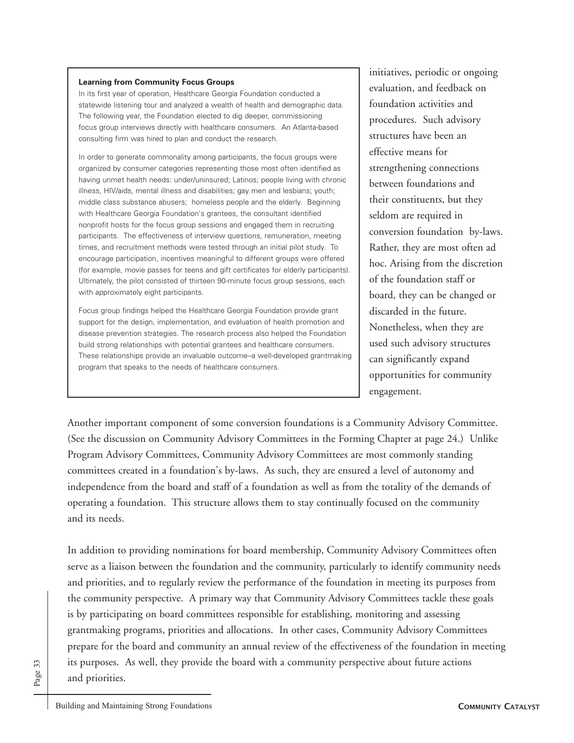#### **Learning from Community Focus Groups**

In its first year of operation, Healthcare Georgia Foundation conducted a statewide listening tour and analyzed a wealth of health and demographic data. The following year, the Foundation elected to dig deeper, commissioning focus group interviews directly with healthcare consumers. An Atlanta-based consulting firm was hired to plan and conduct the research.

In order to generate commonality among participants, the focus groups were organized by consumer categories representing those most often identified as having unmet health needs: under/uninsured; Latinos; people living with chronic illness, HIV/aids, mental illness and disabilities; gay men and lesbians; youth; middle class substance abusers; homeless people and the elderly. Beginning with Healthcare Georgia Foundation's grantees, the consultant identified nonprofit hosts for the focus group sessions and engaged them in recruiting participants. The effectiveness of interview questions, remuneration, meeting times, and recruitment methods were tested through an initial pilot study. To encourage participation, incentives meaningful to different groups were offered (for example, movie passes for teens and gift certificates for elderly participants). Ultimately, the pilot consisted of thirteen 90-minute focus group sessions, each with approximately eight participants.

Focus group findings helped the Healthcare Georgia Foundation provide grant support for the design, implementation, and evaluation of health promotion and disease prevention strategies. The research process also helped the Foundation build strong relationships with potential grantees and healthcare consumers. These relationships provide an invaluable outcome-a well-developed grantmaking program that speaks to the needs of healthcare consumers.

initiatives, periodic or ongoing evaluation, and feedback on foundation activities and procedures. Such advisory structures have been an effective means for strengthening connections between foundations and their constituents, but they seldom are required in conversion foundation by-laws. Rather, they are most often ad hoc. Arising from the discretion of the foundation staff or board, they can be changed or discarded in the future. Nonetheless, when they are used such advisory structures can significantly expand opportunities for community engagement.

Another important component of some conversion foundations is a Community Advisory Committee. (See the discussion on Community Advisory Committees in the Forming Chapter at page 24.) Unlike Program Advisory Committees, Community Advisory Committees are most commonly standing committees created in a foundation's by-laws. As such, they are ensured a level of autonomy and independence from the board and staff of a foundation as well as from the totality of the demands of operating a foundation. This structure allows them to stay continually focused on the community and its needs.

In addition to providing nominations for board membership, Community Advisory Committees often serve as a liaison between the foundation and the community, particularly to identify community needs and priorities, and to regularly review the performance of the foundation in meeting its purposes from the community perspective. A primary way that Community Advisory Committees tackle these goals is by participating on board committees responsible for establishing, monitoring and assessing grantmaking programs, priorities and allocations. In other cases, Community Advisory Committees prepare for the board and community an annual review of the effectiveness of the foundation in meeting its purposes. As well, they provide the board with a community perspective about future actions and priorities.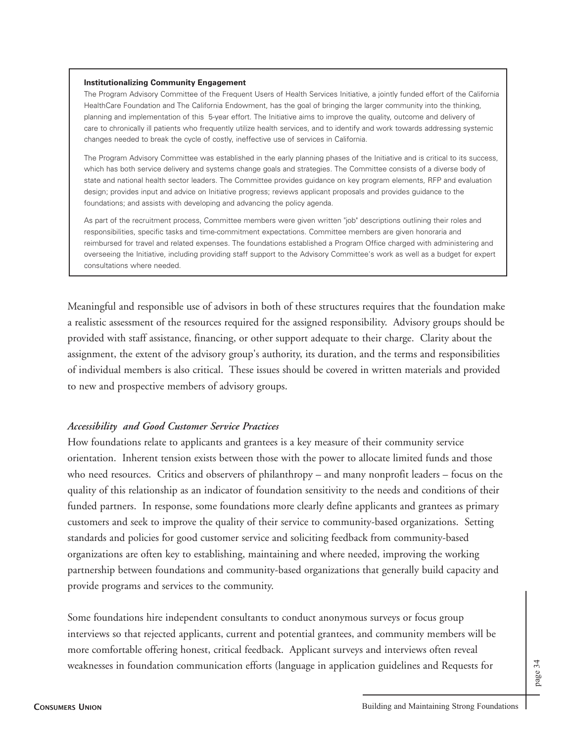#### **Institutionalizing Community Engagement**

The Program Advisory Committee of the Frequent Users of Health Services Initiative, a jointly funded effort of the California HealthCare Foundation and The California Endowment, has the goal of bringing the larger community into the thinking, planning and implementation of this 5-year effort. The Initiative aims to improve the quality, outcome and delivery of care to chronically ill patients who frequently utilize health services, and to identify and work towards addressing systemic changes needed to break the cycle of costly, ineffective use of services in California.

The Program Advisory Committee was established in the early planning phases of the Initiative and is critical to its success, which has both service delivery and systems change goals and strategies. The Committee consists of a diverse body of state and national health sector leaders. The Committee provides guidance on key program elements, RFP and evaluation design; provides input and advice on Initiative progress; reviews applicant proposals and provides guidance to the foundations; and assists with developing and advancing the policy agenda.

As part of the recruitment process, Committee members were given written "job" descriptions outlining their roles and responsibilities, specific tasks and time-commitment expectations. Committee members are given honoraria and reimbursed for travel and related expenses. The foundations established a Program Office charged with administering and overseeing the Initiative, including providing staff support to the Advisory Committee's work as well as a budget for expert consultations where needed.

Meaningful and responsible use of advisors in both of these structures requires that the foundation make a realistic assessment of the resources required for the assigned responsibility. Advisory groups should be provided with staff assistance, financing, or other support adequate to their charge. Clarity about the assignment, the extent of the advisory group's authority, its duration, and the terms and responsibilities of individual members is also critical. These issues should be covered in written materials and provided to new and prospective members of advisory groups.

#### *Accessibility and Good Customer Service Practices*

How foundations relate to applicants and grantees is a key measure of their community service orientation. Inherent tension exists between those with the power to allocate limited funds and those who need resources. Critics and observers of philanthropy – and many nonprofit leaders – focus on the quality of this relationship as an indicator of foundation sensitivity to the needs and conditions of their funded partners. In response, some foundations more clearly define applicants and grantees as primary customers and seek to improve the quality of their service to community-based organizations. Setting standards and policies for good customer service and soliciting feedback from community-based organizations are often key to establishing, maintaining and where needed, improving the working partnership between foundations and community-based organizations that generally build capacity and provide programs and services to the community.

Some foundations hire independent consultants to conduct anonymous surveys or focus group interviews so that rejected applicants, current and potential grantees, and community members will be more comfortable offering honest, critical feedback. Applicant surveys and interviews often reveal weaknesses in foundation communication efforts (language in application guidelines and Requests for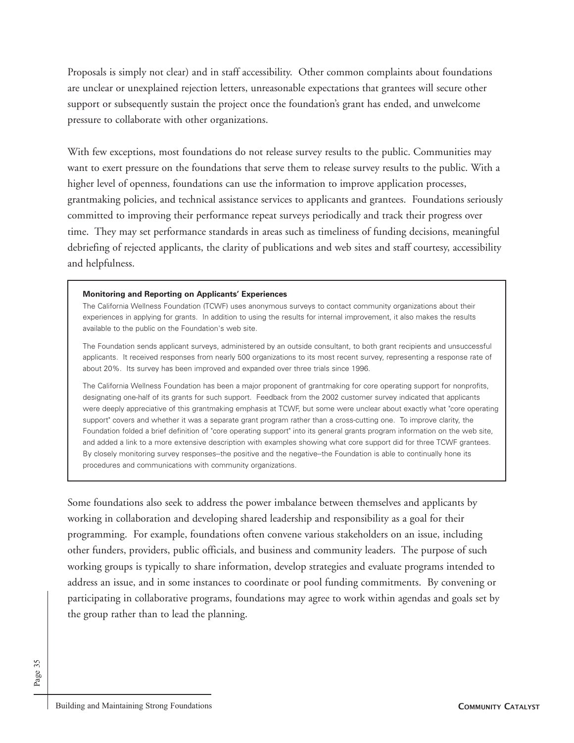Proposals is simply not clear) and in staff accessibility. Other common complaints about foundations are unclear or unexplained rejection letters, unreasonable expectations that grantees will secure other support or subsequently sustain the project once the foundation's grant has ended, and unwelcome pressure to collaborate with other organizations.

With few exceptions, most foundations do not release survey results to the public. Communities may want to exert pressure on the foundations that serve them to release survey results to the public. With a higher level of openness, foundations can use the information to improve application processes, grantmaking policies, and technical assistance services to applicants and grantees. Foundations seriously committed to improving their performance repeat surveys periodically and track their progress over time. They may set performance standards in areas such as timeliness of funding decisions, meaningful debriefing of rejected applicants, the clarity of publications and web sites and staff courtesy, accessibility and helpfulness.

#### **Monitoring and Reporting on Applicants' Experiences**

The California Wellness Foundation (TCWF) uses anonymous surveys to contact community organizations about their experiences in applying for grants. In addition to using the results for internal improvement, it also makes the results available to the public on the Foundation's web site.

The Foundation sends applicant surveys, administered by an outside consultant, to both grant recipients and unsuccessful applicants. It received responses from nearly 500 organizations to its most recent survey, representing a response rate of about 20%. Its survey has been improved and expanded over three trials since 1996.

The California Wellness Foundation has been a major proponent of grantmaking for core operating support for nonprofits, designating one-half of its grants for such support. Feedback from the 2002 customer survey indicated that applicants were deeply appreciative of this grantmaking emphasis at TCWF, but some were unclear about exactly what "core operating support" covers and whether it was a separate grant program rather than a cross-cutting one. To improve clarity, the Foundation folded a brief definition of "core operating support" into its general grants program information on the web site, and added a link to a more extensive description with examples showing what core support did for three TCWF grantees. By closely monitoring survey responses--the positive and the negative--the Foundation is able to continually hone its procedures and communications with community organizations.

Some foundations also seek to address the power imbalance between themselves and applicants by working in collaboration and developing shared leadership and responsibility as a goal for their programming. For example, foundations often convene various stakeholders on an issue, including other funders, providers, public officials, and business and community leaders. The purpose of such working groups is typically to share information, develop strategies and evaluate programs intended to address an issue, and in some instances to coordinate or pool funding commitments. By convening or participating in collaborative programs, foundations may agree to work within agendas and goals set by the group rather than to lead the planning.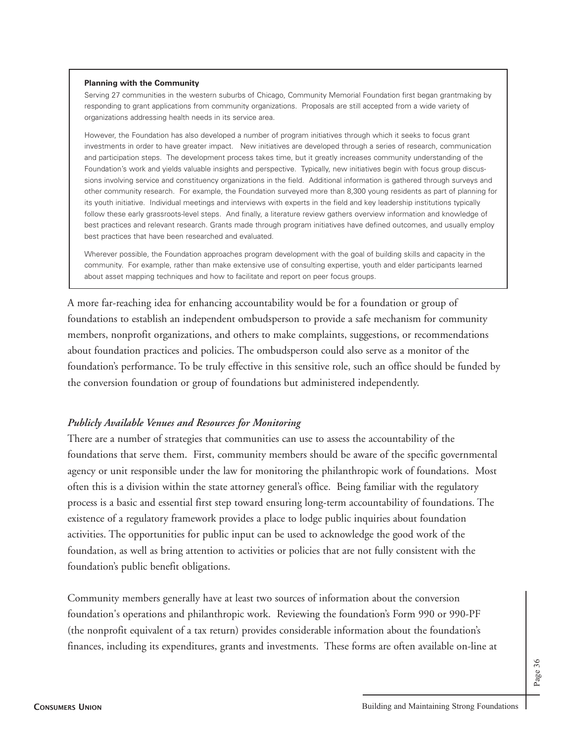#### **Planning with the Community**

Serving 27 communities in the western suburbs of Chicago, Community Memorial Foundation first began grantmaking by responding to grant applications from community organizations. Proposals are still accepted from a wide variety of organizations addressing health needs in its service area.

However, the Foundation has also developed a number of program initiatives through which it seeks to focus grant investments in order to have greater impact. New initiatives are developed through a series of research, communication and participation steps. The development process takes time, but it greatly increases community understanding of the Foundation's work and yields valuable insights and perspective. Typically, new initiatives begin with focus group discussions involving service and constituency organizations in the field. Additional information is gathered through surveys and other community research. For example, the Foundation surveyed more than 8,300 young residents as part of planning for its youth initiative. Individual meetings and interviews with experts in the field and key leadership institutions typically follow these early grassroots-level steps. And finally, a literature review gathers overview information and knowledge of best practices and relevant research. Grants made through program initiatives have defined outcomes, and usually employ best practices that have been researched and evaluated.

Wherever possible, the Foundation approaches program development with the goal of building skills and capacity in the community. For example, rather than make extensive use of consulting expertise, youth and elder participants learned about asset mapping techniques and how to facilitate and report on peer focus groups.

A more far-reaching idea for enhancing accountability would be for a foundation or group of foundations to establish an independent ombudsperson to provide a safe mechanism for community members, nonprofit organizations, and others to make complaints, suggestions, or recommendations about foundation practices and policies. The ombudsperson could also serve as a monitor of the foundation's performance. To be truly effective in this sensitive role, such an office should be funded by the conversion foundation or group of foundations but administered independently.

#### *Publicly Available Venues and Resources for Monitoring*

There are a number of strategies that communities can use to assess the accountability of the foundations that serve them. First, community members should be aware of the specific governmental agency or unit responsible under the law for monitoring the philanthropic work of foundations. Most often this is a division within the state attorney general's office. Being familiar with the regulatory process is a basic and essential first step toward ensuring long-term accountability of foundations. The existence of a regulatory framework provides a place to lodge public inquiries about foundation activities. The opportunities for public input can be used to acknowledge the good work of the foundation, as well as bring attention to activities or policies that are not fully consistent with the foundation's public benefit obligations.

Community members generally have at least two sources of information about the conversion foundation's operations and philanthropic work. Reviewing the foundation's Form 990 or 990-PF (the nonprofit equivalent of a tax return) provides considerable information about the foundation's finances, including its expenditures, grants and investments. These forms are often available on-line at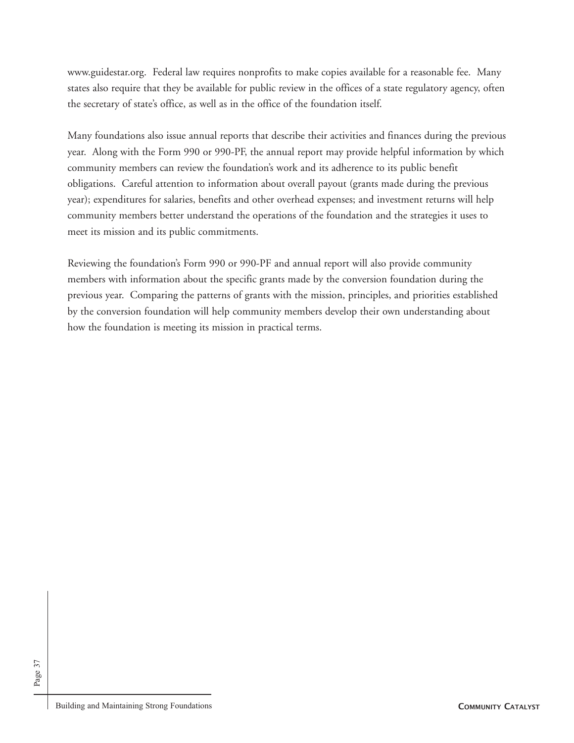www.guidestar.org. Federal law requires nonprofits to make copies available for a reasonable fee. Many states also require that they be available for public review in the offices of a state regulatory agency, often the secretary of state's office, as well as in the office of the foundation itself.

Many foundations also issue annual reports that describe their activities and finances during the previous year. Along with the Form 990 or 990-PF, the annual report may provide helpful information by which community members can review the foundation's work and its adherence to its public benefit obligations. Careful attention to information about overall payout (grants made during the previous year); expenditures for salaries, benefits and other overhead expenses; and investment returns will help community members better understand the operations of the foundation and the strategies it uses to meet its mission and its public commitments.

Reviewing the foundation's Form 990 or 990-PF and annual report will also provide community members with information about the specific grants made by the conversion foundation during the previous year. Comparing the patterns of grants with the mission, principles, and priorities established by the conversion foundation will help community members develop their own understanding about how the foundation is meeting its mission in practical terms.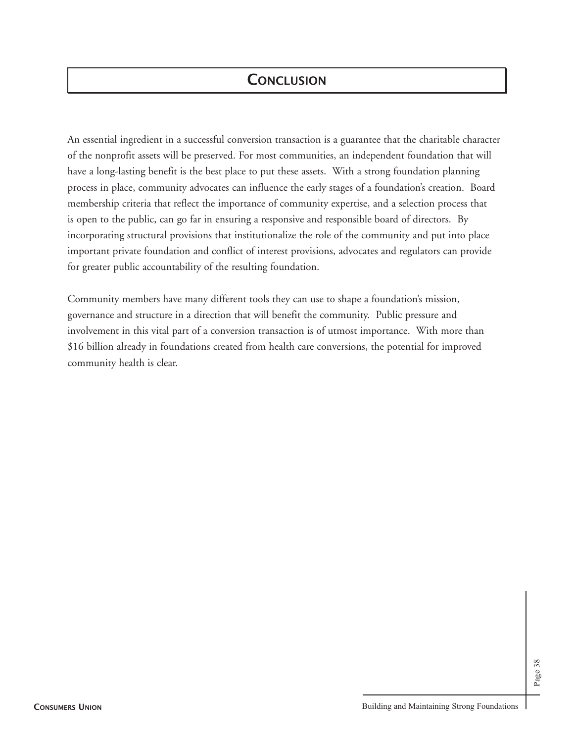## **CONCLUSION**

An essential ingredient in a successful conversion transaction is a guarantee that the charitable character of the nonprofit assets will be preserved. For most communities, an independent foundation that will have a long-lasting benefit is the best place to put these assets. With a strong foundation planning process in place, community advocates can influence the early stages of a foundation's creation. Board membership criteria that reflect the importance of community expertise, and a selection process that is open to the public, can go far in ensuring a responsive and responsible board of directors. By incorporating structural provisions that institutionalize the role of the community and put into place important private foundation and conflict of interest provisions, advocates and regulators can provide for greater public accountability of the resulting foundation.

Community members have many different tools they can use to shape a foundation's mission, governance and structure in a direction that will benefit the community. Public pressure and involvement in this vital part of a conversion transaction is of utmost importance. With more than \$16 billion already in foundations created from health care conversions, the potential for improved community health is clear.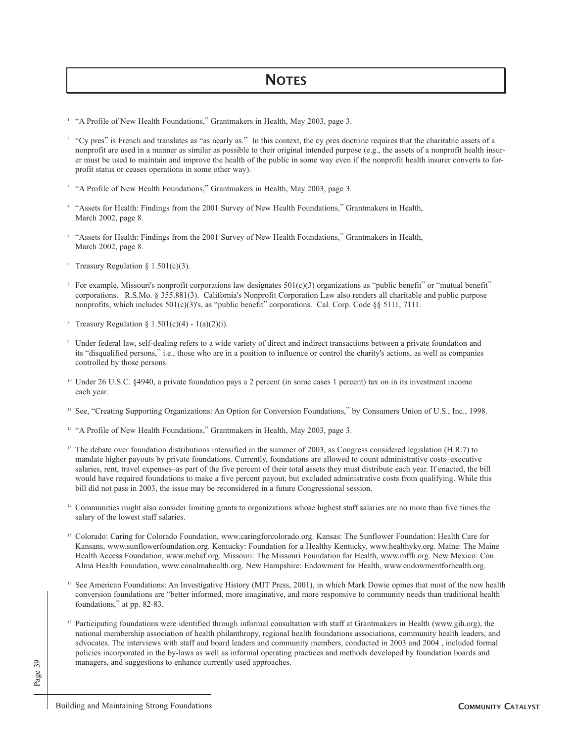- <sup>1</sup> "A Profile of New Health Foundations," Grantmakers in Health, May 2003, page 3.
- <sup>2</sup> "Cy pres" is French and translates as "as nearly as." In this context, the cy pres doctrine requires that the charitable assets of a nonprofit are used in a manner as similar as possible to their original intended purpose (e.g., the assets of a nonprofit health insurer must be used to maintain and improve the health of the public in some way even if the nonprofit health insurer converts to forprofit status or ceases operations in some other way).
- <sup>3</sup> "A Profile of New Health Foundations," Grantmakers in Health, May 2003, page 3.
- <sup>4</sup> "Assets for Health: Findings from the 2001 Survey of New Health Foundations," Grantmakers in Health, March 2002, page 8.
- <sup>5</sup> "Assets for Health: Findings from the 2001 Survey of New Health Foundations," Grantmakers in Health, March 2002, page 8.
- $6$  Treasury Regulation § 1.501(c)(3).
- <sup>7</sup> For example, Missouri's nonprofit corporations law designates  $501(c)(3)$  organizations as "public benefit" or "mutual benefit" corporations. R.S.Mo. § 355.881(3). California's Nonprofit Corporation Law also renders all charitable and public purpose nonprofits, which includes 501(c)(3)'s, as "public benefit" corporations. Cal. Corp. Code §§ 5111, 7111.
- <sup>8</sup> Treasury Regulation § 1.501(c)(4) 1(a)(2)(i).
- <sup>9</sup> Under federal law, self-dealing refers to a wide variety of direct and indirect transactions between a private foundation and its "disqualified persons," i.e., those who are in a position to influence or control the charity's actions, as well as companies controlled by those persons.
- <sup>10</sup> Under 26 U.S.C. §4940, a private foundation pays a 2 percent (in some cases 1 percent) tax on in its investment income each year.
- <sup>11</sup> See, "Creating Supporting Organizations: An Option for Conversion Foundations," by Consumers Union of U.S., Inc., 1998.
- <sup>12</sup> "A Profile of New Health Foundations," Grantmakers in Health, May 2003, page 3.
- <sup>13</sup> The debate over foundation distributions intensified in the summer of 2003, as Congress considered legislation (H.R.7) to mandate higher payouts by private foundations. Currently, foundations are allowed to count administrative costs–executive salaries, rent, travel expenses–as part of the five percent of their total assets they must distribute each year. If enacted, the bill would have required foundations to make a five percent payout, but excluded administrative costs from qualifying. While this bill did not pass in 2003, the issue may be reconsidered in a future Congressional session.
- <sup>14</sup> Communities might also consider limiting grants to organizations whose highest staff salaries are no more than five times the salary of the lowest staff salaries.
- <sup>15</sup> Colorado: Caring for Colorado Foundation, www.caringforcolorado.org. Kansas: The Sunflower Foundation: Health Care for Kansans, www.sunflowerfoundation.org. Kentucky: Foundation for a Healthy Kentucky, www.healthyky.org. Maine: The Maine Health Access Foundation, www.mehaf.org. Missouri: The Missouri Foundation for Health, www.mffh.org. New Mexico: Con Alma Health Foundation, www.conalmahealth.org. New Hampshire: Endowment for Health, www.endowmentforhealth.org.
- <sup>16</sup> See American Foundations: An Investigative History (MIT Press, 2001), in which Mark Dowie opines that most of the new health conversion foundations are "better informed, more imaginative, and more responsive to community needs than traditional health foundations," at pp. 82-83.
- <sup>17</sup> Participating foundations were identified through informal consultation with staff at Grantmakers in Health (www.gih.org), the national membership association of health philanthropy, regional health foundations associations, community health leaders, and advocates. The interviews with staff and board leaders and community members, conducted in 2003 and 2004 , included formal policies incorporated in the by-laws as well as informal operating practices and methods developed by foundation boards and managers, and suggestions to enhance currently used approaches.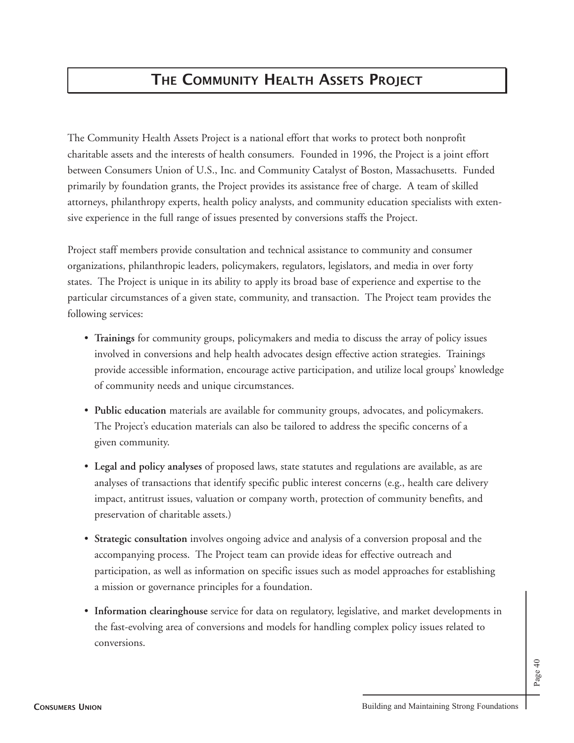## **THE COMMUNITY HEALTH ASSETS PROJECT**

The Community Health Assets Project is a national effort that works to protect both nonprofit charitable assets and the interests of health consumers. Founded in 1996, the Project is a joint effort between Consumers Union of U.S., Inc. and Community Catalyst of Boston, Massachusetts. Funded primarily by foundation grants, the Project provides its assistance free of charge. A team of skilled attorneys, philanthropy experts, health policy analysts, and community education specialists with extensive experience in the full range of issues presented by conversions staffs the Project.

Project staff members provide consultation and technical assistance to community and consumer organizations, philanthropic leaders, policymakers, regulators, legislators, and media in over forty states. The Project is unique in its ability to apply its broad base of experience and expertise to the particular circumstances of a given state, community, and transaction. The Project team provides the following services:

- **Trainings** for community groups, policymakers and media to discuss the array of policy issues involved in conversions and help health advocates design effective action strategies. Trainings provide accessible information, encourage active participation, and utilize local groups' knowledge of community needs and unique circumstances.
- **Public education** materials are available for community groups, advocates, and policymakers. The Project's education materials can also be tailored to address the specific concerns of a given community.
- **Legal and policy analyses** of proposed laws, state statutes and regulations are available, as are analyses of transactions that identify specific public interest concerns (e.g., health care delivery impact, antitrust issues, valuation or company worth, protection of community benefits, and preservation of charitable assets.)
- **Strategic consultation** involves ongoing advice and analysis of a conversion proposal and the accompanying process. The Project team can provide ideas for effective outreach and participation, as well as information on specific issues such as model approaches for establishing a mission or governance principles for a foundation.
- **Information clearinghouse** service for data on regulatory, legislative, and market developments in the fast-evolving area of conversions and models for handling complex policy issues related to conversions.

Page 40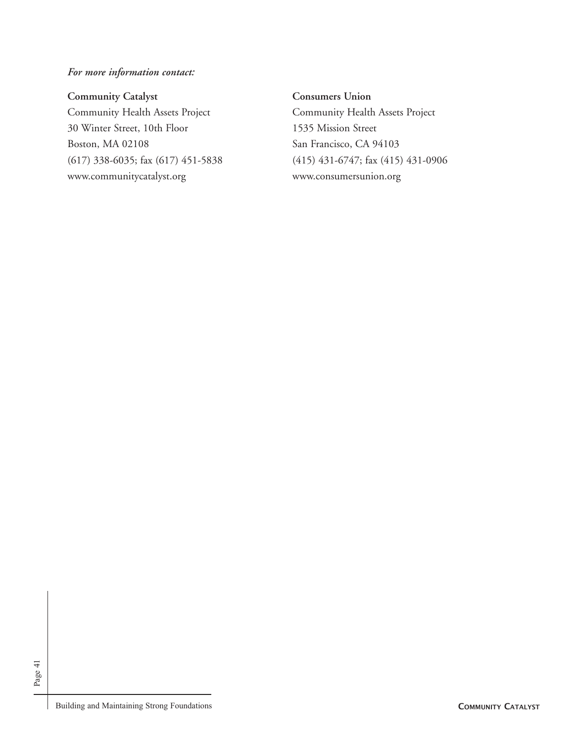*For more information contact:*

### **Community Catalyst**

Community Health Assets Project 30 Winter Street, 10th Floor Boston, MA 02108 (617) 338-6035; fax (617) 451-5838 www.communitycatalyst.org

**Consumers Union** Community Health Assets Project 1535 Mission Street San Francisco, CA 94103 (415) 431-6747; fax (415) 431-0906 www.consumersunion.org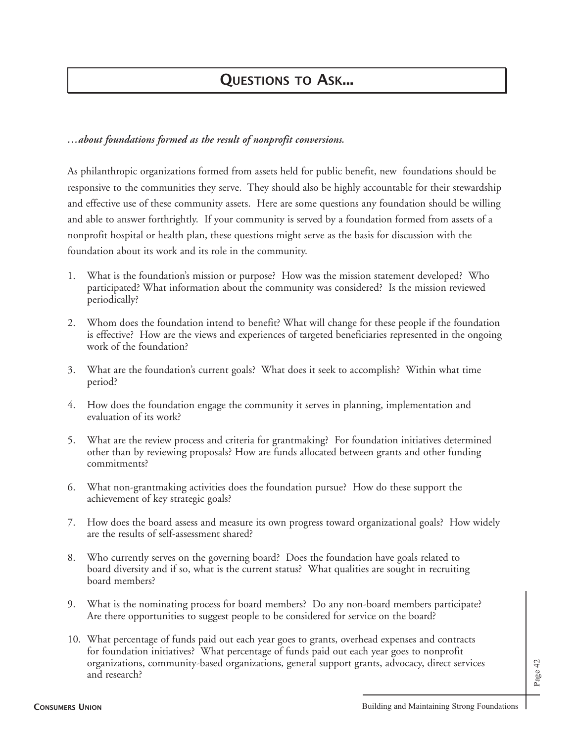## **QUESTIONS TO ASK...**

## *…about foundations formed as the result of nonprofit conversions.*

As philanthropic organizations formed from assets held for public benefit, new foundations should be responsive to the communities they serve. They should also be highly accountable for their stewardship and effective use of these community assets. Here are some questions any foundation should be willing and able to answer forthrightly. If your community is served by a foundation formed from assets of a nonprofit hospital or health plan, these questions might serve as the basis for discussion with the foundation about its work and its role in the community.

- 1. What is the foundation's mission or purpose? How was the mission statement developed? Who participated? What information about the community was considered? Is the mission reviewed periodically?
- 2. Whom does the foundation intend to benefit? What will change for these people if the foundation is effective? How are the views and experiences of targeted beneficiaries represented in the ongoing work of the foundation?
- 3. What are the foundation's current goals? What does it seek to accomplish? Within what time period?
- 4. How does the foundation engage the community it serves in planning, implementation and evaluation of its work?
- 5. What are the review process and criteria for grantmaking? For foundation initiatives determined other than by reviewing proposals? How are funds allocated between grants and other funding commitments?
- 6. What non-grantmaking activities does the foundation pursue? How do these support the achievement of key strategic goals?
- 7. How does the board assess and measure its own progress toward organizational goals? How widely are the results of self-assessment shared?
- 8. Who currently serves on the governing board? Does the foundation have goals related to board diversity and if so, what is the current status? What qualities are sought in recruiting board members?
- 9. What is the nominating process for board members? Do any non-board members participate? Are there opportunities to suggest people to be considered for service on the board?
- 10. What percentage of funds paid out each year goes to grants, overhead expenses and contracts for foundation initiatives? What percentage of funds paid out each year goes to nonprofit organizations, community-based organizations, general support grants, advocacy, direct services and research?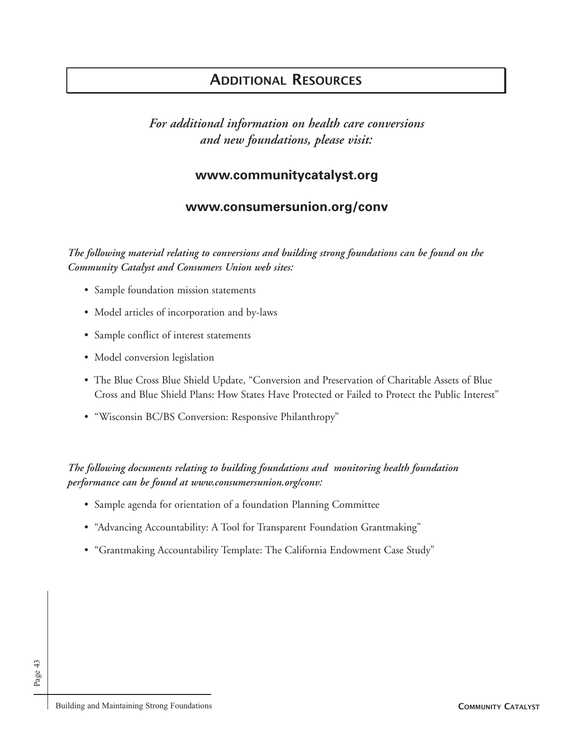## **ADDITIONAL RESOURCES**

*For additional information on health care conversions and new foundations, please visit:*

## **www.communitycatalyst.org**

## **www.consumersunion.org/conv**

*The following material relating to conversions and building strong foundations can be found on the Community Catalyst and Consumers Union web sites:*

- Sample foundation mission statements
- Model articles of incorporation and by-laws
- Sample conflict of interest statements
- Model conversion legislation
- The Blue Cross Blue Shield Update, "Conversion and Preservation of Charitable Assets of Blue Cross and Blue Shield Plans: How States Have Protected or Failed to Protect the Public Interest"
- "Wisconsin BC/BS Conversion: Responsive Philanthropy"

## *The following documents relating to building foundations and monitoring health foundation performance can be found at www.consumersunion.org/conv:*

- Sample agenda for orientation of a foundation Planning Committee
- "Advancing Accountability: A Tool for Transparent Foundation Grantmaking"
- "Grantmaking Accountability Template: The California Endowment Case Study"

Page 43